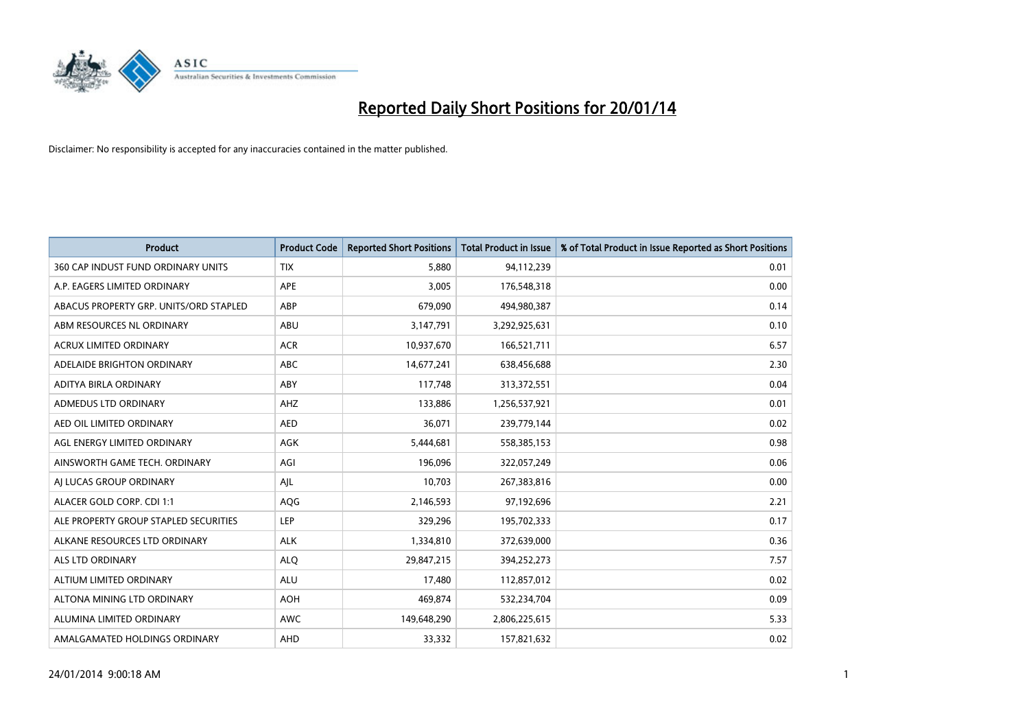

| <b>Product</b>                         | <b>Product Code</b> | <b>Reported Short Positions</b> | <b>Total Product in Issue</b> | % of Total Product in Issue Reported as Short Positions |
|----------------------------------------|---------------------|---------------------------------|-------------------------------|---------------------------------------------------------|
| 360 CAP INDUST FUND ORDINARY UNITS     | <b>TIX</b>          | 5,880                           | 94,112,239                    | 0.01                                                    |
| A.P. EAGERS LIMITED ORDINARY           | APE                 | 3,005                           | 176,548,318                   | 0.00                                                    |
| ABACUS PROPERTY GRP. UNITS/ORD STAPLED | ABP                 | 679,090                         | 494,980,387                   | 0.14                                                    |
| ABM RESOURCES NL ORDINARY              | ABU                 | 3,147,791                       | 3,292,925,631                 | 0.10                                                    |
| <b>ACRUX LIMITED ORDINARY</b>          | <b>ACR</b>          | 10,937,670                      | 166,521,711                   | 6.57                                                    |
| ADELAIDE BRIGHTON ORDINARY             | <b>ABC</b>          | 14,677,241                      | 638,456,688                   | 2.30                                                    |
| ADITYA BIRLA ORDINARY                  | ABY                 | 117,748                         | 313,372,551                   | 0.04                                                    |
| ADMEDUS LTD ORDINARY                   | AHZ                 | 133,886                         | 1,256,537,921                 | 0.01                                                    |
| AED OIL LIMITED ORDINARY               | <b>AED</b>          | 36,071                          | 239,779,144                   | 0.02                                                    |
| AGL ENERGY LIMITED ORDINARY            | <b>AGK</b>          | 5,444,681                       | 558,385,153                   | 0.98                                                    |
| AINSWORTH GAME TECH. ORDINARY          | AGI                 | 196,096                         | 322,057,249                   | 0.06                                                    |
| AI LUCAS GROUP ORDINARY                | AJL                 | 10,703                          | 267,383,816                   | 0.00                                                    |
| ALACER GOLD CORP. CDI 1:1              | AQG                 | 2,146,593                       | 97,192,696                    | 2.21                                                    |
| ALE PROPERTY GROUP STAPLED SECURITIES  | LEP                 | 329,296                         | 195,702,333                   | 0.17                                                    |
| ALKANE RESOURCES LTD ORDINARY          | <b>ALK</b>          | 1,334,810                       | 372,639,000                   | 0.36                                                    |
| ALS LTD ORDINARY                       | <b>ALQ</b>          | 29,847,215                      | 394,252,273                   | 7.57                                                    |
| ALTIUM LIMITED ORDINARY                | <b>ALU</b>          | 17,480                          | 112,857,012                   | 0.02                                                    |
| ALTONA MINING LTD ORDINARY             | <b>AOH</b>          | 469,874                         | 532,234,704                   | 0.09                                                    |
| ALUMINA LIMITED ORDINARY               | <b>AWC</b>          | 149,648,290                     | 2,806,225,615                 | 5.33                                                    |
| AMALGAMATED HOLDINGS ORDINARY          | AHD                 | 33,332                          | 157,821,632                   | 0.02                                                    |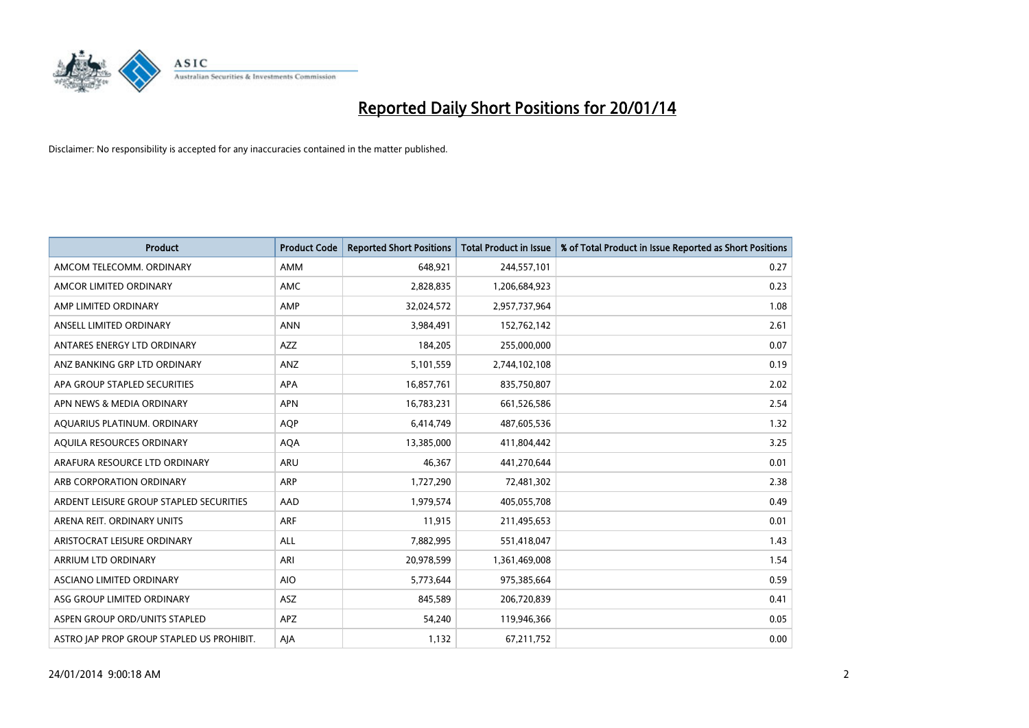

| <b>Product</b>                            | <b>Product Code</b> | <b>Reported Short Positions</b> | <b>Total Product in Issue</b> | % of Total Product in Issue Reported as Short Positions |
|-------------------------------------------|---------------------|---------------------------------|-------------------------------|---------------------------------------------------------|
| AMCOM TELECOMM, ORDINARY                  | AMM                 | 648,921                         | 244,557,101                   | 0.27                                                    |
| AMCOR LIMITED ORDINARY                    | AMC                 | 2,828,835                       | 1,206,684,923                 | 0.23                                                    |
| AMP LIMITED ORDINARY                      | AMP                 | 32,024,572                      | 2,957,737,964                 | 1.08                                                    |
| ANSELL LIMITED ORDINARY                   | <b>ANN</b>          | 3,984,491                       | 152,762,142                   | 2.61                                                    |
| ANTARES ENERGY LTD ORDINARY               | AZZ                 | 184,205                         | 255,000,000                   | 0.07                                                    |
| ANZ BANKING GRP LTD ORDINARY              | ANZ                 | 5,101,559                       | 2,744,102,108                 | 0.19                                                    |
| APA GROUP STAPLED SECURITIES              | APA                 | 16,857,761                      | 835,750,807                   | 2.02                                                    |
| APN NEWS & MEDIA ORDINARY                 | <b>APN</b>          | 16,783,231                      | 661,526,586                   | 2.54                                                    |
| AQUARIUS PLATINUM. ORDINARY               | <b>AOP</b>          | 6,414,749                       | 487,605,536                   | 1.32                                                    |
| AQUILA RESOURCES ORDINARY                 | <b>AQA</b>          | 13,385,000                      | 411,804,442                   | 3.25                                                    |
| ARAFURA RESOURCE LTD ORDINARY             | ARU                 | 46,367                          | 441,270,644                   | 0.01                                                    |
| ARB CORPORATION ORDINARY                  | <b>ARP</b>          | 1,727,290                       | 72,481,302                    | 2.38                                                    |
| ARDENT LEISURE GROUP STAPLED SECURITIES   | AAD                 | 1,979,574                       | 405,055,708                   | 0.49                                                    |
| ARENA REIT. ORDINARY UNITS                | <b>ARF</b>          | 11,915                          | 211,495,653                   | 0.01                                                    |
| ARISTOCRAT LEISURE ORDINARY               | <b>ALL</b>          | 7,882,995                       | 551,418,047                   | 1.43                                                    |
| ARRIUM LTD ORDINARY                       | ARI                 | 20,978,599                      | 1,361,469,008                 | 1.54                                                    |
| ASCIANO LIMITED ORDINARY                  | <b>AIO</b>          | 5,773,644                       | 975,385,664                   | 0.59                                                    |
| ASG GROUP LIMITED ORDINARY                | ASZ                 | 845,589                         | 206,720,839                   | 0.41                                                    |
| ASPEN GROUP ORD/UNITS STAPLED             | APZ                 | 54,240                          | 119,946,366                   | 0.05                                                    |
| ASTRO JAP PROP GROUP STAPLED US PROHIBIT. | AJA                 | 1,132                           | 67,211,752                    | 0.00                                                    |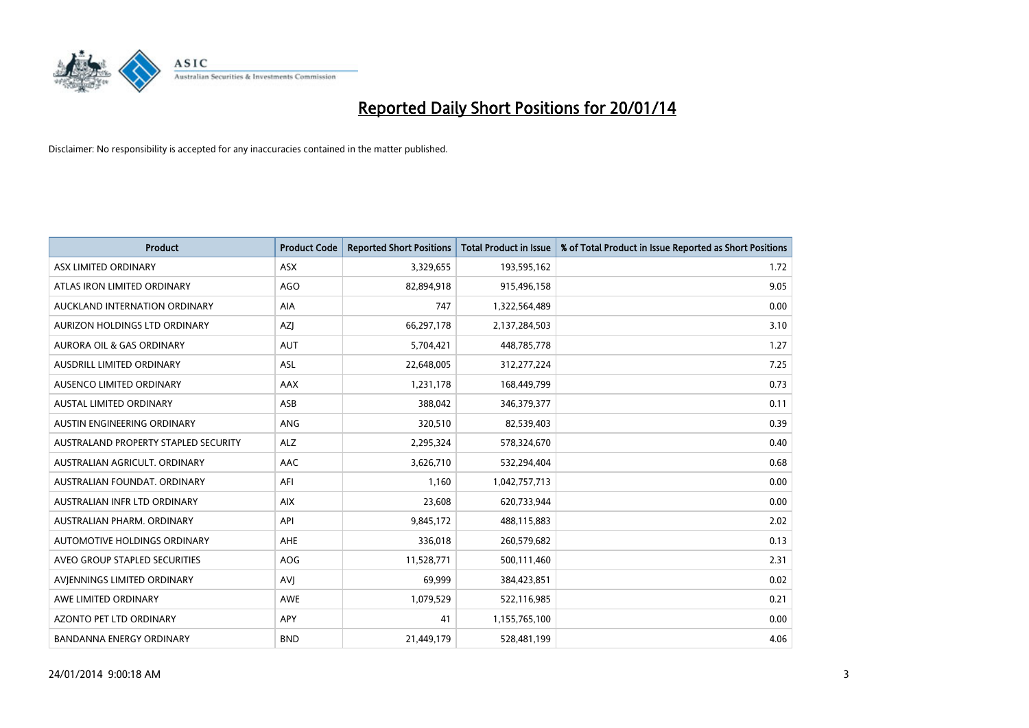

| <b>Product</b>                       | <b>Product Code</b> | <b>Reported Short Positions</b> | <b>Total Product in Issue</b> | % of Total Product in Issue Reported as Short Positions |
|--------------------------------------|---------------------|---------------------------------|-------------------------------|---------------------------------------------------------|
| ASX LIMITED ORDINARY                 | <b>ASX</b>          | 3,329,655                       | 193,595,162                   | 1.72                                                    |
| ATLAS IRON LIMITED ORDINARY          | <b>AGO</b>          | 82,894,918                      | 915,496,158                   | 9.05                                                    |
| AUCKLAND INTERNATION ORDINARY        | <b>AIA</b>          | 747                             | 1,322,564,489                 | 0.00                                                    |
| AURIZON HOLDINGS LTD ORDINARY        | AZJ                 | 66,297,178                      | 2,137,284,503                 | 3.10                                                    |
| <b>AURORA OIL &amp; GAS ORDINARY</b> | <b>AUT</b>          | 5,704,421                       | 448,785,778                   | 1.27                                                    |
| AUSDRILL LIMITED ORDINARY            | <b>ASL</b>          | 22,648,005                      | 312,277,224                   | 7.25                                                    |
| AUSENCO LIMITED ORDINARY             | <b>AAX</b>          | 1,231,178                       | 168,449,799                   | 0.73                                                    |
| <b>AUSTAL LIMITED ORDINARY</b>       | ASB                 | 388,042                         | 346, 379, 377                 | 0.11                                                    |
| AUSTIN ENGINEERING ORDINARY          | ANG                 | 320,510                         | 82,539,403                    | 0.39                                                    |
| AUSTRALAND PROPERTY STAPLED SECURITY | <b>ALZ</b>          | 2,295,324                       | 578,324,670                   | 0.40                                                    |
| AUSTRALIAN AGRICULT, ORDINARY        | AAC                 | 3,626,710                       | 532,294,404                   | 0.68                                                    |
| AUSTRALIAN FOUNDAT, ORDINARY         | AFI                 | 1,160                           | 1,042,757,713                 | 0.00                                                    |
| AUSTRALIAN INFR LTD ORDINARY         | <b>AIX</b>          | 23,608                          | 620,733,944                   | 0.00                                                    |
| AUSTRALIAN PHARM, ORDINARY           | API                 | 9,845,172                       | 488,115,883                   | 2.02                                                    |
| <b>AUTOMOTIVE HOLDINGS ORDINARY</b>  | <b>AHE</b>          | 336,018                         | 260,579,682                   | 0.13                                                    |
| AVEO GROUP STAPLED SECURITIES        | <b>AOG</b>          | 11,528,771                      | 500,111,460                   | 2.31                                                    |
| AVIENNINGS LIMITED ORDINARY          | <b>AVJ</b>          | 69,999                          | 384,423,851                   | 0.02                                                    |
| AWE LIMITED ORDINARY                 | <b>AWE</b>          | 1,079,529                       | 522,116,985                   | 0.21                                                    |
| <b>AZONTO PET LTD ORDINARY</b>       | <b>APY</b>          | 41                              | 1,155,765,100                 | 0.00                                                    |
| BANDANNA ENERGY ORDINARY             | <b>BND</b>          | 21,449,179                      | 528,481,199                   | 4.06                                                    |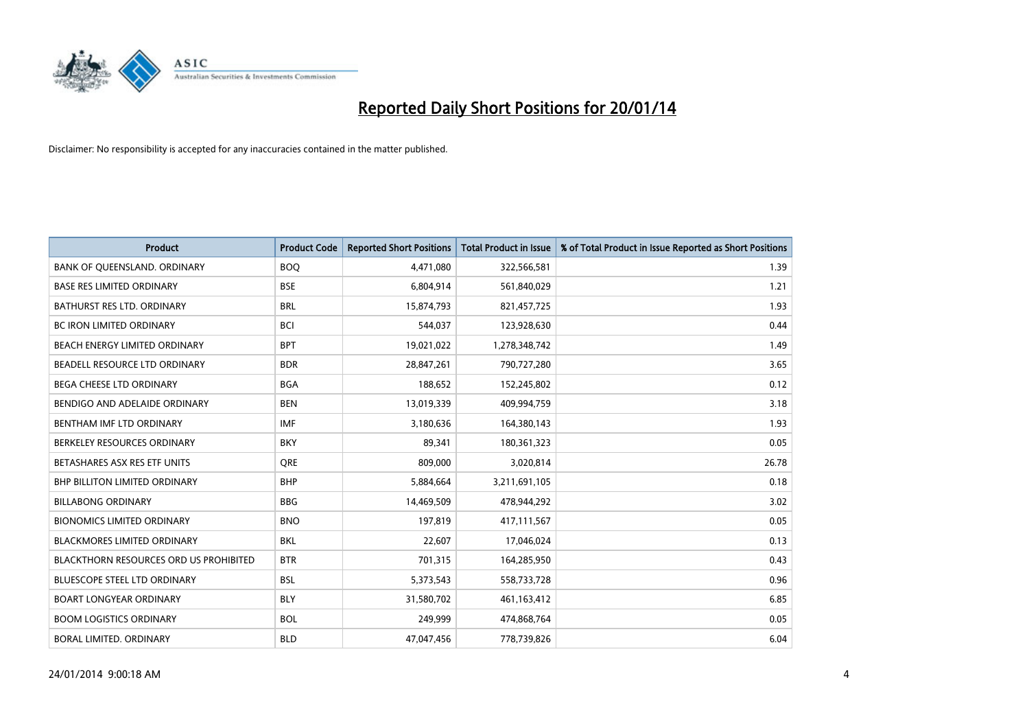

| Product                                | <b>Product Code</b> | <b>Reported Short Positions</b> | <b>Total Product in Issue</b> | % of Total Product in Issue Reported as Short Positions |
|----------------------------------------|---------------------|---------------------------------|-------------------------------|---------------------------------------------------------|
| BANK OF QUEENSLAND. ORDINARY           | <b>BOO</b>          | 4,471,080                       | 322,566,581                   | 1.39                                                    |
| <b>BASE RES LIMITED ORDINARY</b>       | <b>BSE</b>          | 6,804,914                       | 561,840,029                   | 1.21                                                    |
| BATHURST RES LTD. ORDINARY             | <b>BRL</b>          | 15,874,793                      | 821,457,725                   | 1.93                                                    |
| BC IRON LIMITED ORDINARY               | <b>BCI</b>          | 544,037                         | 123,928,630                   | 0.44                                                    |
| BEACH ENERGY LIMITED ORDINARY          | <b>BPT</b>          | 19,021,022                      | 1,278,348,742                 | 1.49                                                    |
| BEADELL RESOURCE LTD ORDINARY          | <b>BDR</b>          | 28,847,261                      | 790,727,280                   | 3.65                                                    |
| BEGA CHEESE LTD ORDINARY               | <b>BGA</b>          | 188,652                         | 152,245,802                   | 0.12                                                    |
| BENDIGO AND ADELAIDE ORDINARY          | <b>BEN</b>          | 13,019,339                      | 409,994,759                   | 3.18                                                    |
| BENTHAM IMF LTD ORDINARY               | <b>IMF</b>          | 3,180,636                       | 164,380,143                   | 1.93                                                    |
| BERKELEY RESOURCES ORDINARY            | <b>BKY</b>          | 89,341                          | 180,361,323                   | 0.05                                                    |
| BETASHARES ASX RES ETF UNITS           | <b>ORE</b>          | 809,000                         | 3,020,814                     | 26.78                                                   |
| <b>BHP BILLITON LIMITED ORDINARY</b>   | <b>BHP</b>          | 5,884,664                       | 3,211,691,105                 | 0.18                                                    |
| <b>BILLABONG ORDINARY</b>              | <b>BBG</b>          | 14,469,509                      | 478,944,292                   | 3.02                                                    |
| <b>BIONOMICS LIMITED ORDINARY</b>      | <b>BNO</b>          | 197,819                         | 417,111,567                   | 0.05                                                    |
| <b>BLACKMORES LIMITED ORDINARY</b>     | <b>BKL</b>          | 22,607                          | 17,046,024                    | 0.13                                                    |
| BLACKTHORN RESOURCES ORD US PROHIBITED | <b>BTR</b>          | 701,315                         | 164,285,950                   | 0.43                                                    |
| BLUESCOPE STEEL LTD ORDINARY           | <b>BSL</b>          | 5,373,543                       | 558,733,728                   | 0.96                                                    |
| <b>BOART LONGYEAR ORDINARY</b>         | <b>BLY</b>          | 31,580,702                      | 461,163,412                   | 6.85                                                    |
| <b>BOOM LOGISTICS ORDINARY</b>         | <b>BOL</b>          | 249,999                         | 474,868,764                   | 0.05                                                    |
| BORAL LIMITED. ORDINARY                | <b>BLD</b>          | 47,047,456                      | 778,739,826                   | 6.04                                                    |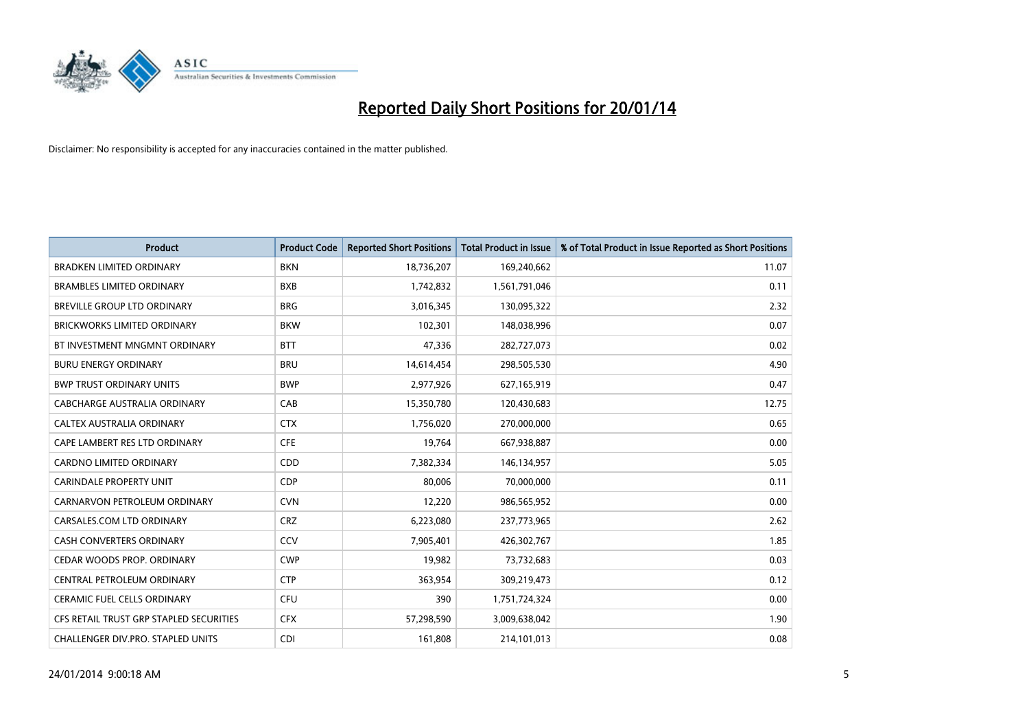

| <b>Product</b>                          | <b>Product Code</b> | <b>Reported Short Positions</b> | <b>Total Product in Issue</b> | % of Total Product in Issue Reported as Short Positions |
|-----------------------------------------|---------------------|---------------------------------|-------------------------------|---------------------------------------------------------|
| <b>BRADKEN LIMITED ORDINARY</b>         | <b>BKN</b>          | 18,736,207                      | 169,240,662                   | 11.07                                                   |
| <b>BRAMBLES LIMITED ORDINARY</b>        | <b>BXB</b>          | 1,742,832                       | 1,561,791,046                 | 0.11                                                    |
| BREVILLE GROUP LTD ORDINARY             | <b>BRG</b>          | 3,016,345                       | 130,095,322                   | 2.32                                                    |
| <b>BRICKWORKS LIMITED ORDINARY</b>      | <b>BKW</b>          | 102,301                         | 148,038,996                   | 0.07                                                    |
| BT INVESTMENT MNGMNT ORDINARY           | <b>BTT</b>          | 47,336                          | 282,727,073                   | 0.02                                                    |
| <b>BURU ENERGY ORDINARY</b>             | <b>BRU</b>          | 14,614,454                      | 298,505,530                   | 4.90                                                    |
| <b>BWP TRUST ORDINARY UNITS</b>         | <b>BWP</b>          | 2,977,926                       | 627,165,919                   | 0.47                                                    |
| <b>CABCHARGE AUSTRALIA ORDINARY</b>     | CAB                 | 15,350,780                      | 120,430,683                   | 12.75                                                   |
| CALTEX AUSTRALIA ORDINARY               | <b>CTX</b>          | 1,756,020                       | 270,000,000                   | 0.65                                                    |
| CAPE LAMBERT RES LTD ORDINARY           | <b>CFE</b>          | 19,764                          | 667,938,887                   | 0.00                                                    |
| CARDNO LIMITED ORDINARY                 | CDD                 | 7,382,334                       | 146,134,957                   | 5.05                                                    |
| <b>CARINDALE PROPERTY UNIT</b>          | <b>CDP</b>          | 80,006                          | 70,000,000                    | 0.11                                                    |
| CARNARVON PETROLEUM ORDINARY            | <b>CVN</b>          | 12,220                          | 986,565,952                   | 0.00                                                    |
| CARSALES.COM LTD ORDINARY               | <b>CRZ</b>          | 6,223,080                       | 237,773,965                   | 2.62                                                    |
| <b>CASH CONVERTERS ORDINARY</b>         | CCV                 | 7,905,401                       | 426,302,767                   | 1.85                                                    |
| CEDAR WOODS PROP. ORDINARY              | <b>CWP</b>          | 19,982                          | 73,732,683                    | 0.03                                                    |
| CENTRAL PETROLEUM ORDINARY              | <b>CTP</b>          | 363,954                         | 309,219,473                   | 0.12                                                    |
| CERAMIC FUEL CELLS ORDINARY             | <b>CFU</b>          | 390                             | 1,751,724,324                 | 0.00                                                    |
| CFS RETAIL TRUST GRP STAPLED SECURITIES | <b>CFX</b>          | 57,298,590                      | 3,009,638,042                 | 1.90                                                    |
| CHALLENGER DIV.PRO. STAPLED UNITS       | <b>CDI</b>          | 161,808                         | 214,101,013                   | 0.08                                                    |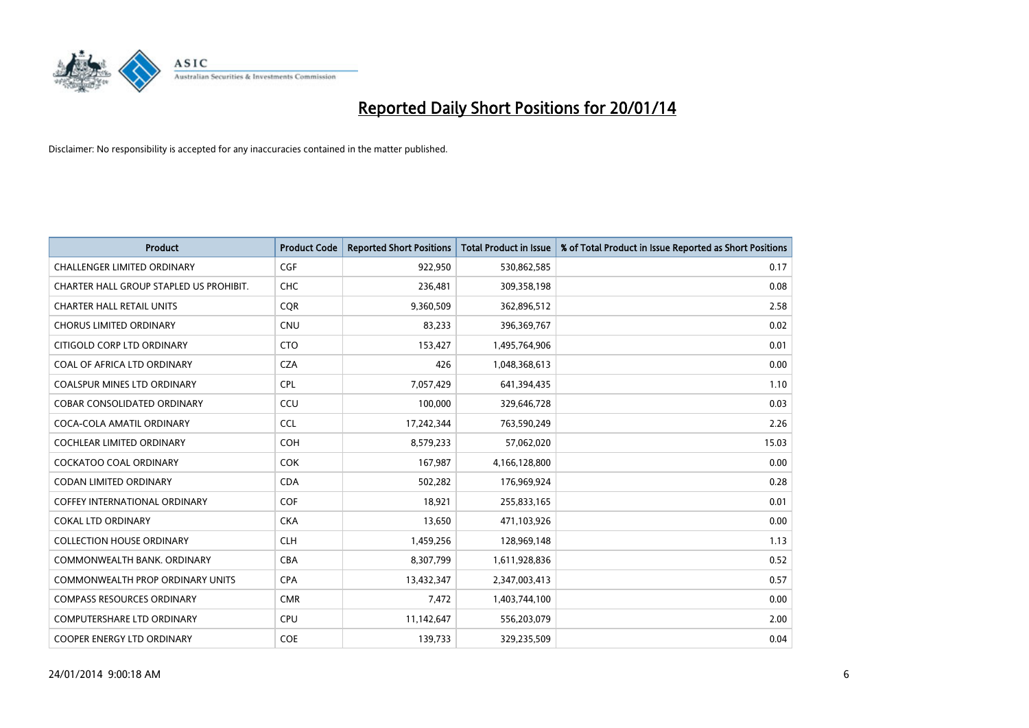

| <b>Product</b>                          | <b>Product Code</b> | <b>Reported Short Positions</b> | <b>Total Product in Issue</b> | % of Total Product in Issue Reported as Short Positions |
|-----------------------------------------|---------------------|---------------------------------|-------------------------------|---------------------------------------------------------|
| <b>CHALLENGER LIMITED ORDINARY</b>      | <b>CGF</b>          | 922,950                         | 530,862,585                   | 0.17                                                    |
| CHARTER HALL GROUP STAPLED US PROHIBIT. | <b>CHC</b>          | 236,481                         | 309,358,198                   | 0.08                                                    |
| <b>CHARTER HALL RETAIL UNITS</b>        | <b>CQR</b>          | 9,360,509                       | 362,896,512                   | 2.58                                                    |
| <b>CHORUS LIMITED ORDINARY</b>          | <b>CNU</b>          | 83,233                          | 396,369,767                   | 0.02                                                    |
| CITIGOLD CORP LTD ORDINARY              | <b>CTO</b>          | 153,427                         | 1,495,764,906                 | 0.01                                                    |
| COAL OF AFRICA LTD ORDINARY             | <b>CZA</b>          | 426                             | 1,048,368,613                 | 0.00                                                    |
| <b>COALSPUR MINES LTD ORDINARY</b>      | <b>CPL</b>          | 7,057,429                       | 641,394,435                   | 1.10                                                    |
| COBAR CONSOLIDATED ORDINARY             | CCU                 | 100,000                         | 329,646,728                   | 0.03                                                    |
| COCA-COLA AMATIL ORDINARY               | <b>CCL</b>          | 17,242,344                      | 763,590,249                   | 2.26                                                    |
| <b>COCHLEAR LIMITED ORDINARY</b>        | <b>COH</b>          | 8,579,233                       | 57,062,020                    | 15.03                                                   |
| <b>COCKATOO COAL ORDINARY</b>           | <b>COK</b>          | 167,987                         | 4,166,128,800                 | 0.00                                                    |
| <b>CODAN LIMITED ORDINARY</b>           | <b>CDA</b>          | 502,282                         | 176,969,924                   | 0.28                                                    |
| COFFEY INTERNATIONAL ORDINARY           | <b>COF</b>          | 18,921                          | 255,833,165                   | 0.01                                                    |
| <b>COKAL LTD ORDINARY</b>               | <b>CKA</b>          | 13,650                          | 471,103,926                   | 0.00                                                    |
| <b>COLLECTION HOUSE ORDINARY</b>        | <b>CLH</b>          | 1,459,256                       | 128,969,148                   | 1.13                                                    |
| COMMONWEALTH BANK, ORDINARY             | <b>CBA</b>          | 8,307,799                       | 1,611,928,836                 | 0.52                                                    |
| COMMONWEALTH PROP ORDINARY UNITS        | <b>CPA</b>          | 13,432,347                      | 2,347,003,413                 | 0.57                                                    |
| <b>COMPASS RESOURCES ORDINARY</b>       | <b>CMR</b>          | 7,472                           | 1,403,744,100                 | 0.00                                                    |
| <b>COMPUTERSHARE LTD ORDINARY</b>       | <b>CPU</b>          | 11,142,647                      | 556,203,079                   | 2.00                                                    |
| COOPER ENERGY LTD ORDINARY              | <b>COE</b>          | 139,733                         | 329,235,509                   | 0.04                                                    |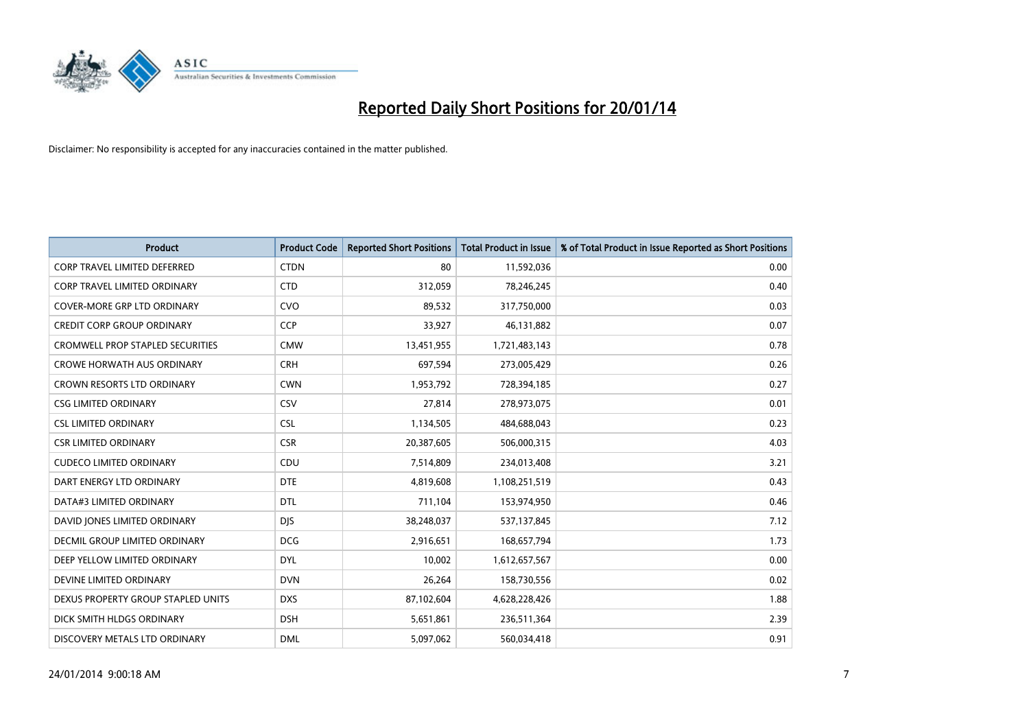

| <b>Product</b>                       | <b>Product Code</b> | <b>Reported Short Positions</b> | <b>Total Product in Issue</b> | % of Total Product in Issue Reported as Short Positions |
|--------------------------------------|---------------------|---------------------------------|-------------------------------|---------------------------------------------------------|
| <b>CORP TRAVEL LIMITED DEFERRED</b>  | <b>CTDN</b>         | 80                              | 11,592,036                    | 0.00                                                    |
| <b>CORP TRAVEL LIMITED ORDINARY</b>  | <b>CTD</b>          | 312,059                         | 78,246,245                    | 0.40                                                    |
| COVER-MORE GRP LTD ORDINARY          | <b>CVO</b>          | 89,532                          | 317,750,000                   | 0.03                                                    |
| <b>CREDIT CORP GROUP ORDINARY</b>    | <b>CCP</b>          | 33,927                          | 46,131,882                    | 0.07                                                    |
| CROMWELL PROP STAPLED SECURITIES     | <b>CMW</b>          | 13,451,955                      | 1,721,483,143                 | 0.78                                                    |
| <b>CROWE HORWATH AUS ORDINARY</b>    | <b>CRH</b>          | 697,594                         | 273,005,429                   | 0.26                                                    |
| CROWN RESORTS LTD ORDINARY           | <b>CWN</b>          | 1,953,792                       | 728,394,185                   | 0.27                                                    |
| <b>CSG LIMITED ORDINARY</b>          | CSV                 | 27,814                          | 278,973,075                   | 0.01                                                    |
| <b>CSL LIMITED ORDINARY</b>          | <b>CSL</b>          | 1,134,505                       | 484,688,043                   | 0.23                                                    |
| <b>CSR LIMITED ORDINARY</b>          | <b>CSR</b>          | 20,387,605                      | 506,000,315                   | 4.03                                                    |
| <b>CUDECO LIMITED ORDINARY</b>       | CDU                 | 7,514,809                       | 234,013,408                   | 3.21                                                    |
| DART ENERGY LTD ORDINARY             | <b>DTE</b>          | 4,819,608                       | 1,108,251,519                 | 0.43                                                    |
| DATA#3 LIMITED ORDINARY              | <b>DTL</b>          | 711,104                         | 153,974,950                   | 0.46                                                    |
| DAVID JONES LIMITED ORDINARY         | <b>DJS</b>          | 38,248,037                      | 537,137,845                   | 7.12                                                    |
| <b>DECMIL GROUP LIMITED ORDINARY</b> | <b>DCG</b>          | 2,916,651                       | 168,657,794                   | 1.73                                                    |
| DEEP YELLOW LIMITED ORDINARY         | <b>DYL</b>          | 10,002                          | 1,612,657,567                 | 0.00                                                    |
| DEVINE LIMITED ORDINARY              | <b>DVN</b>          | 26,264                          | 158,730,556                   | 0.02                                                    |
| DEXUS PROPERTY GROUP STAPLED UNITS   | <b>DXS</b>          | 87,102,604                      | 4,628,228,426                 | 1.88                                                    |
| DICK SMITH HLDGS ORDINARY            | <b>DSH</b>          | 5,651,861                       | 236,511,364                   | 2.39                                                    |
| DISCOVERY METALS LTD ORDINARY        | <b>DML</b>          | 5,097,062                       | 560,034,418                   | 0.91                                                    |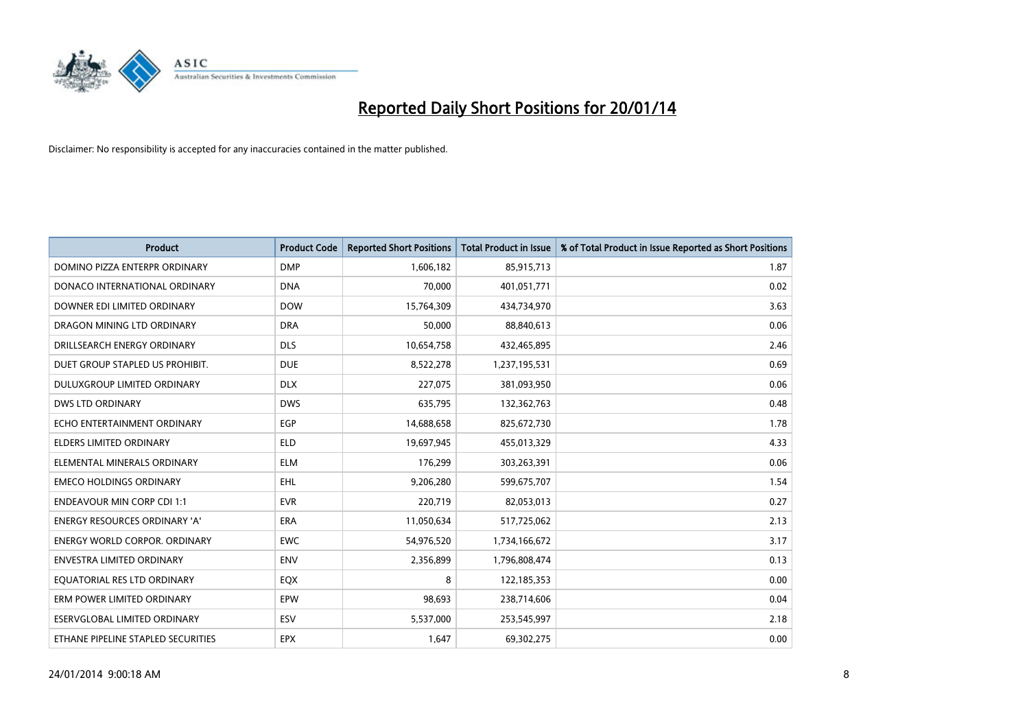

| <b>Product</b>                       | <b>Product Code</b> | <b>Reported Short Positions</b> | <b>Total Product in Issue</b> | % of Total Product in Issue Reported as Short Positions |
|--------------------------------------|---------------------|---------------------------------|-------------------------------|---------------------------------------------------------|
| DOMINO PIZZA ENTERPR ORDINARY        | <b>DMP</b>          | 1,606,182                       | 85,915,713                    | 1.87                                                    |
| DONACO INTERNATIONAL ORDINARY        | <b>DNA</b>          | 70,000                          | 401,051,771                   | 0.02                                                    |
| DOWNER EDI LIMITED ORDINARY          | <b>DOW</b>          | 15,764,309                      | 434,734,970                   | 3.63                                                    |
| DRAGON MINING LTD ORDINARY           | <b>DRA</b>          | 50,000                          | 88,840,613                    | 0.06                                                    |
| DRILLSEARCH ENERGY ORDINARY          | <b>DLS</b>          | 10,654,758                      | 432,465,895                   | 2.46                                                    |
| DUET GROUP STAPLED US PROHIBIT.      | <b>DUE</b>          | 8,522,278                       | 1,237,195,531                 | 0.69                                                    |
| <b>DULUXGROUP LIMITED ORDINARY</b>   | <b>DLX</b>          | 227,075                         | 381,093,950                   | 0.06                                                    |
| DWS LTD ORDINARY                     | <b>DWS</b>          | 635,795                         | 132,362,763                   | 0.48                                                    |
| ECHO ENTERTAINMENT ORDINARY          | <b>EGP</b>          | 14,688,658                      | 825,672,730                   | 1.78                                                    |
| <b>ELDERS LIMITED ORDINARY</b>       | <b>ELD</b>          | 19,697,945                      | 455,013,329                   | 4.33                                                    |
| ELEMENTAL MINERALS ORDINARY          | <b>ELM</b>          | 176,299                         | 303,263,391                   | 0.06                                                    |
| <b>EMECO HOLDINGS ORDINARY</b>       | <b>EHL</b>          | 9,206,280                       | 599,675,707                   | 1.54                                                    |
| <b>ENDEAVOUR MIN CORP CDI 1:1</b>    | <b>EVR</b>          | 220,719                         | 82,053,013                    | 0.27                                                    |
| <b>ENERGY RESOURCES ORDINARY 'A'</b> | <b>ERA</b>          | 11,050,634                      | 517,725,062                   | 2.13                                                    |
| <b>ENERGY WORLD CORPOR. ORDINARY</b> | <b>EWC</b>          | 54,976,520                      | 1,734,166,672                 | 3.17                                                    |
| <b>ENVESTRA LIMITED ORDINARY</b>     | <b>ENV</b>          | 2,356,899                       | 1,796,808,474                 | 0.13                                                    |
| EQUATORIAL RES LTD ORDINARY          | EQX                 | 8                               | 122,185,353                   | 0.00                                                    |
| ERM POWER LIMITED ORDINARY           | EPW                 | 98,693                          | 238,714,606                   | 0.04                                                    |
| <b>ESERVGLOBAL LIMITED ORDINARY</b>  | ESV                 | 5,537,000                       | 253,545,997                   | 2.18                                                    |
| ETHANE PIPELINE STAPLED SECURITIES   | <b>EPX</b>          | 1,647                           | 69,302,275                    | 0.00                                                    |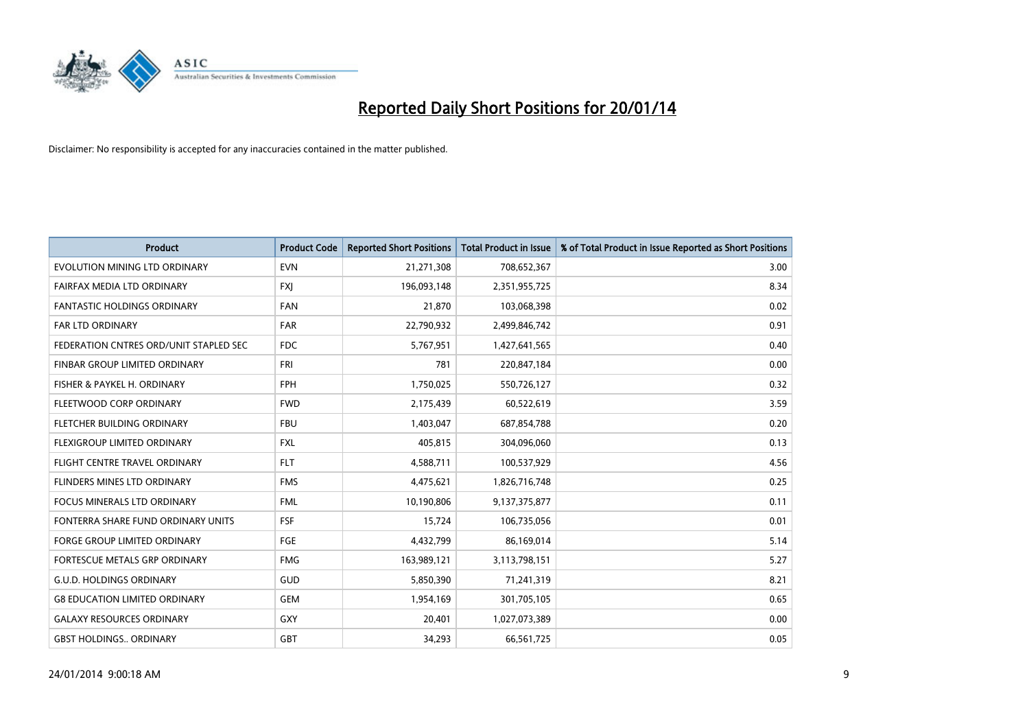

| <b>Product</b>                         | <b>Product Code</b> | <b>Reported Short Positions</b> | <b>Total Product in Issue</b> | % of Total Product in Issue Reported as Short Positions |
|----------------------------------------|---------------------|---------------------------------|-------------------------------|---------------------------------------------------------|
| EVOLUTION MINING LTD ORDINARY          | <b>EVN</b>          | 21,271,308                      | 708,652,367                   | 3.00                                                    |
| FAIRFAX MEDIA LTD ORDINARY             | <b>FXI</b>          | 196,093,148                     | 2,351,955,725                 | 8.34                                                    |
| <b>FANTASTIC HOLDINGS ORDINARY</b>     | <b>FAN</b>          | 21,870                          | 103,068,398                   | 0.02                                                    |
| FAR LTD ORDINARY                       | <b>FAR</b>          | 22,790,932                      | 2,499,846,742                 | 0.91                                                    |
| FEDERATION CNTRES ORD/UNIT STAPLED SEC | <b>FDC</b>          | 5,767,951                       | 1,427,641,565                 | 0.40                                                    |
| FINBAR GROUP LIMITED ORDINARY          | <b>FRI</b>          | 781                             | 220,847,184                   | 0.00                                                    |
| FISHER & PAYKEL H. ORDINARY            | <b>FPH</b>          | 1,750,025                       | 550,726,127                   | 0.32                                                    |
| FLEETWOOD CORP ORDINARY                | <b>FWD</b>          | 2,175,439                       | 60,522,619                    | 3.59                                                    |
| FLETCHER BUILDING ORDINARY             | <b>FBU</b>          | 1,403,047                       | 687,854,788                   | 0.20                                                    |
| FLEXIGROUP LIMITED ORDINARY            | <b>FXL</b>          | 405,815                         | 304,096,060                   | 0.13                                                    |
| FLIGHT CENTRE TRAVEL ORDINARY          | <b>FLT</b>          | 4,588,711                       | 100,537,929                   | 4.56                                                    |
| FLINDERS MINES LTD ORDINARY            | <b>FMS</b>          | 4,475,621                       | 1,826,716,748                 | 0.25                                                    |
| FOCUS MINERALS LTD ORDINARY            | <b>FML</b>          | 10,190,806                      | 9,137,375,877                 | 0.11                                                    |
| FONTERRA SHARE FUND ORDINARY UNITS     | <b>FSF</b>          | 15,724                          | 106,735,056                   | 0.01                                                    |
| <b>FORGE GROUP LIMITED ORDINARY</b>    | FGE                 | 4,432,799                       | 86,169,014                    | 5.14                                                    |
| FORTESCUE METALS GRP ORDINARY          | <b>FMG</b>          | 163,989,121                     | 3,113,798,151                 | 5.27                                                    |
| <b>G.U.D. HOLDINGS ORDINARY</b>        | GUD                 | 5,850,390                       | 71,241,319                    | 8.21                                                    |
| <b>G8 EDUCATION LIMITED ORDINARY</b>   | <b>GEM</b>          | 1,954,169                       | 301,705,105                   | 0.65                                                    |
| <b>GALAXY RESOURCES ORDINARY</b>       | <b>GXY</b>          | 20,401                          | 1,027,073,389                 | 0.00                                                    |
| <b>GBST HOLDINGS ORDINARY</b>          | <b>GBT</b>          | 34,293                          | 66,561,725                    | 0.05                                                    |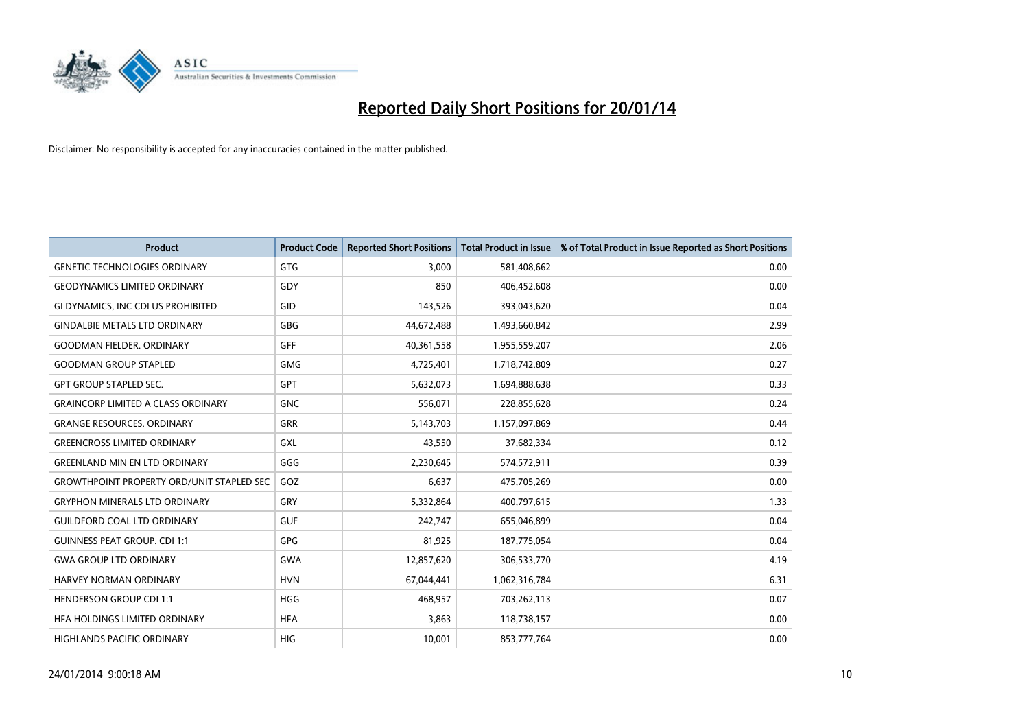

| <b>Product</b>                                   | <b>Product Code</b> | <b>Reported Short Positions</b> | <b>Total Product in Issue</b> | % of Total Product in Issue Reported as Short Positions |
|--------------------------------------------------|---------------------|---------------------------------|-------------------------------|---------------------------------------------------------|
| <b>GENETIC TECHNOLOGIES ORDINARY</b>             | GTG                 | 3,000                           | 581,408,662                   | 0.00                                                    |
| <b>GEODYNAMICS LIMITED ORDINARY</b>              | <b>GDY</b>          | 850                             | 406,452,608                   | 0.00                                                    |
| GI DYNAMICS, INC CDI US PROHIBITED               | GID                 | 143,526                         | 393,043,620                   | 0.04                                                    |
| <b>GINDALBIE METALS LTD ORDINARY</b>             | <b>GBG</b>          | 44,672,488                      | 1,493,660,842                 | 2.99                                                    |
| <b>GOODMAN FIELDER, ORDINARY</b>                 | <b>GFF</b>          | 40,361,558                      | 1,955,559,207                 | 2.06                                                    |
| <b>GOODMAN GROUP STAPLED</b>                     | <b>GMG</b>          | 4,725,401                       | 1,718,742,809                 | 0.27                                                    |
| <b>GPT GROUP STAPLED SEC.</b>                    | <b>GPT</b>          | 5,632,073                       | 1,694,888,638                 | 0.33                                                    |
| <b>GRAINCORP LIMITED A CLASS ORDINARY</b>        | <b>GNC</b>          | 556,071                         | 228,855,628                   | 0.24                                                    |
| <b>GRANGE RESOURCES. ORDINARY</b>                | GRR                 | 5,143,703                       | 1,157,097,869                 | 0.44                                                    |
| <b>GREENCROSS LIMITED ORDINARY</b>               | <b>GXL</b>          | 43,550                          | 37,682,334                    | 0.12                                                    |
| <b>GREENLAND MIN EN LTD ORDINARY</b>             | GGG                 | 2,230,645                       | 574,572,911                   | 0.39                                                    |
| <b>GROWTHPOINT PROPERTY ORD/UNIT STAPLED SEC</b> | GOZ                 | 6,637                           | 475,705,269                   | 0.00                                                    |
| <b>GRYPHON MINERALS LTD ORDINARY</b>             | GRY                 | 5,332,864                       | 400,797,615                   | 1.33                                                    |
| <b>GUILDFORD COAL LTD ORDINARY</b>               | <b>GUF</b>          | 242,747                         | 655,046,899                   | 0.04                                                    |
| <b>GUINNESS PEAT GROUP. CDI 1:1</b>              | <b>GPG</b>          | 81,925                          | 187,775,054                   | 0.04                                                    |
| <b>GWA GROUP LTD ORDINARY</b>                    | <b>GWA</b>          | 12,857,620                      | 306,533,770                   | 4.19                                                    |
| <b>HARVEY NORMAN ORDINARY</b>                    | <b>HVN</b>          | 67,044,441                      | 1,062,316,784                 | 6.31                                                    |
| <b>HENDERSON GROUP CDI 1:1</b>                   | <b>HGG</b>          | 468,957                         | 703,262,113                   | 0.07                                                    |
| HFA HOLDINGS LIMITED ORDINARY                    | <b>HFA</b>          | 3,863                           | 118,738,157                   | 0.00                                                    |
| <b>HIGHLANDS PACIFIC ORDINARY</b>                | <b>HIG</b>          | 10,001                          | 853,777,764                   | 0.00                                                    |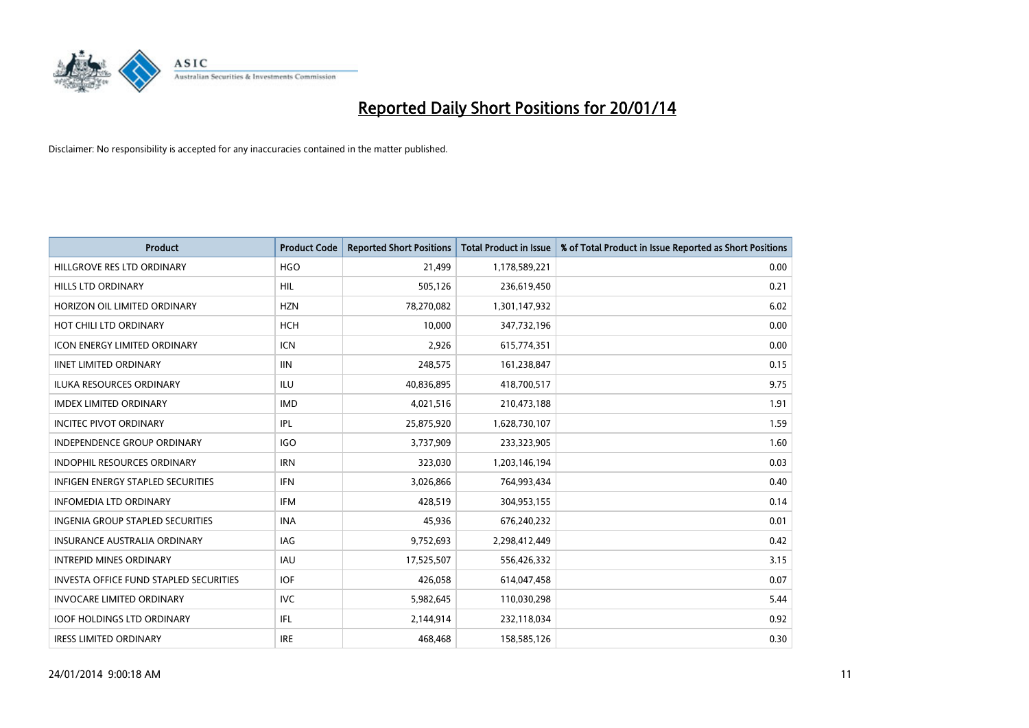

| <b>Product</b>                           | <b>Product Code</b> | <b>Reported Short Positions</b> | <b>Total Product in Issue</b> | % of Total Product in Issue Reported as Short Positions |
|------------------------------------------|---------------------|---------------------------------|-------------------------------|---------------------------------------------------------|
| HILLGROVE RES LTD ORDINARY               | <b>HGO</b>          | 21,499                          | 1,178,589,221                 | 0.00                                                    |
| HILLS LTD ORDINARY                       | HIL                 | 505,126                         | 236,619,450                   | 0.21                                                    |
| HORIZON OIL LIMITED ORDINARY             | <b>HZN</b>          | 78,270,082                      | 1,301,147,932                 | 6.02                                                    |
| HOT CHILI LTD ORDINARY                   | <b>HCH</b>          | 10,000                          | 347,732,196                   | 0.00                                                    |
| <b>ICON ENERGY LIMITED ORDINARY</b>      | <b>ICN</b>          | 2,926                           | 615,774,351                   | 0.00                                                    |
| <b>IINET LIMITED ORDINARY</b>            | <b>IIN</b>          | 248,575                         | 161,238,847                   | 0.15                                                    |
| <b>ILUKA RESOURCES ORDINARY</b>          | ILU                 | 40,836,895                      | 418,700,517                   | 9.75                                                    |
| <b>IMDEX LIMITED ORDINARY</b>            | <b>IMD</b>          | 4,021,516                       | 210,473,188                   | 1.91                                                    |
| <b>INCITEC PIVOT ORDINARY</b>            | IPL                 | 25,875,920                      | 1,628,730,107                 | 1.59                                                    |
| <b>INDEPENDENCE GROUP ORDINARY</b>       | IGO                 | 3,737,909                       | 233,323,905                   | 1.60                                                    |
| <b>INDOPHIL RESOURCES ORDINARY</b>       | <b>IRN</b>          | 323,030                         | 1,203,146,194                 | 0.03                                                    |
| <b>INFIGEN ENERGY STAPLED SECURITIES</b> | <b>IFN</b>          | 3,026,866                       | 764,993,434                   | 0.40                                                    |
| <b>INFOMEDIA LTD ORDINARY</b>            | <b>IFM</b>          | 428,519                         | 304,953,155                   | 0.14                                                    |
| <b>INGENIA GROUP STAPLED SECURITIES</b>  | <b>INA</b>          | 45,936                          | 676,240,232                   | 0.01                                                    |
| <b>INSURANCE AUSTRALIA ORDINARY</b>      | IAG                 | 9,752,693                       | 2,298,412,449                 | 0.42                                                    |
| <b>INTREPID MINES ORDINARY</b>           | <b>IAU</b>          | 17,525,507                      | 556,426,332                   | 3.15                                                    |
| INVESTA OFFICE FUND STAPLED SECURITIES   | <b>IOF</b>          | 426,058                         | 614,047,458                   | 0.07                                                    |
| <b>INVOCARE LIMITED ORDINARY</b>         | <b>IVC</b>          | 5,982,645                       | 110,030,298                   | 5.44                                                    |
| <b>IOOF HOLDINGS LTD ORDINARY</b>        | IFL                 | 2,144,914                       | 232,118,034                   | 0.92                                                    |
| <b>IRESS LIMITED ORDINARY</b>            | <b>IRE</b>          | 468,468                         | 158,585,126                   | 0.30                                                    |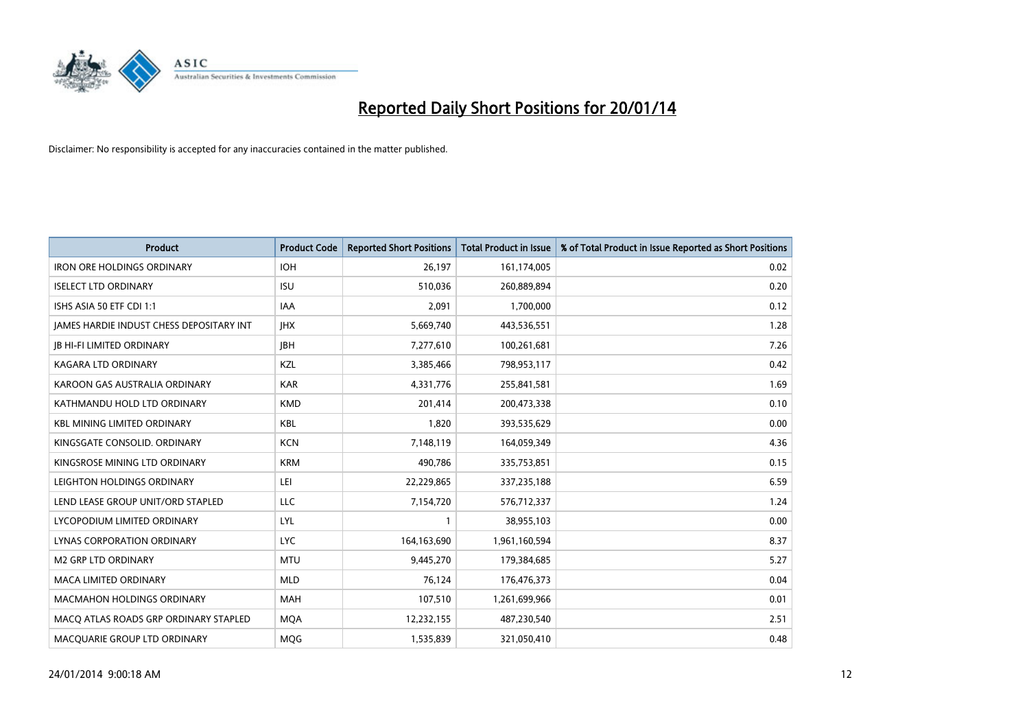

| <b>Product</b>                           | <b>Product Code</b> | <b>Reported Short Positions</b> | <b>Total Product in Issue</b> | % of Total Product in Issue Reported as Short Positions |
|------------------------------------------|---------------------|---------------------------------|-------------------------------|---------------------------------------------------------|
| <b>IRON ORE HOLDINGS ORDINARY</b>        | <b>IOH</b>          | 26,197                          | 161,174,005                   | 0.02                                                    |
| <b>ISELECT LTD ORDINARY</b>              | <b>ISU</b>          | 510,036                         | 260,889,894                   | 0.20                                                    |
| ISHS ASIA 50 ETF CDI 1:1                 | <b>IAA</b>          | 2,091                           | 1,700,000                     | 0.12                                                    |
| JAMES HARDIE INDUST CHESS DEPOSITARY INT | <b>IHX</b>          | 5,669,740                       | 443,536,551                   | 1.28                                                    |
| <b>IB HI-FI LIMITED ORDINARY</b>         | <b>JBH</b>          | 7,277,610                       | 100,261,681                   | 7.26                                                    |
| <b>KAGARA LTD ORDINARY</b>               | KZL                 | 3,385,466                       | 798,953,117                   | 0.42                                                    |
| KAROON GAS AUSTRALIA ORDINARY            | <b>KAR</b>          | 4,331,776                       | 255,841,581                   | 1.69                                                    |
| KATHMANDU HOLD LTD ORDINARY              | <b>KMD</b>          | 201,414                         | 200,473,338                   | 0.10                                                    |
| <b>KBL MINING LIMITED ORDINARY</b>       | <b>KBL</b>          | 1,820                           | 393,535,629                   | 0.00                                                    |
| KINGSGATE CONSOLID. ORDINARY             | <b>KCN</b>          | 7,148,119                       | 164,059,349                   | 4.36                                                    |
| KINGSROSE MINING LTD ORDINARY            | <b>KRM</b>          | 490,786                         | 335,753,851                   | 0.15                                                    |
| LEIGHTON HOLDINGS ORDINARY               | LEI                 | 22,229,865                      | 337,235,188                   | 6.59                                                    |
| LEND LEASE GROUP UNIT/ORD STAPLED        | <b>LLC</b>          | 7,154,720                       | 576,712,337                   | 1.24                                                    |
| LYCOPODIUM LIMITED ORDINARY              | <b>LYL</b>          | $\mathbf{1}$                    | 38,955,103                    | 0.00                                                    |
| LYNAS CORPORATION ORDINARY               | <b>LYC</b>          | 164,163,690                     | 1,961,160,594                 | 8.37                                                    |
| <b>M2 GRP LTD ORDINARY</b>               | <b>MTU</b>          | 9,445,270                       | 179,384,685                   | 5.27                                                    |
| <b>MACA LIMITED ORDINARY</b>             | <b>MLD</b>          | 76,124                          | 176,476,373                   | 0.04                                                    |
| <b>MACMAHON HOLDINGS ORDINARY</b>        | <b>MAH</b>          | 107,510                         | 1,261,699,966                 | 0.01                                                    |
| MACO ATLAS ROADS GRP ORDINARY STAPLED    | <b>MOA</b>          | 12,232,155                      | 487,230,540                   | 2.51                                                    |
| MACQUARIE GROUP LTD ORDINARY             | MQG                 | 1,535,839                       | 321,050,410                   | 0.48                                                    |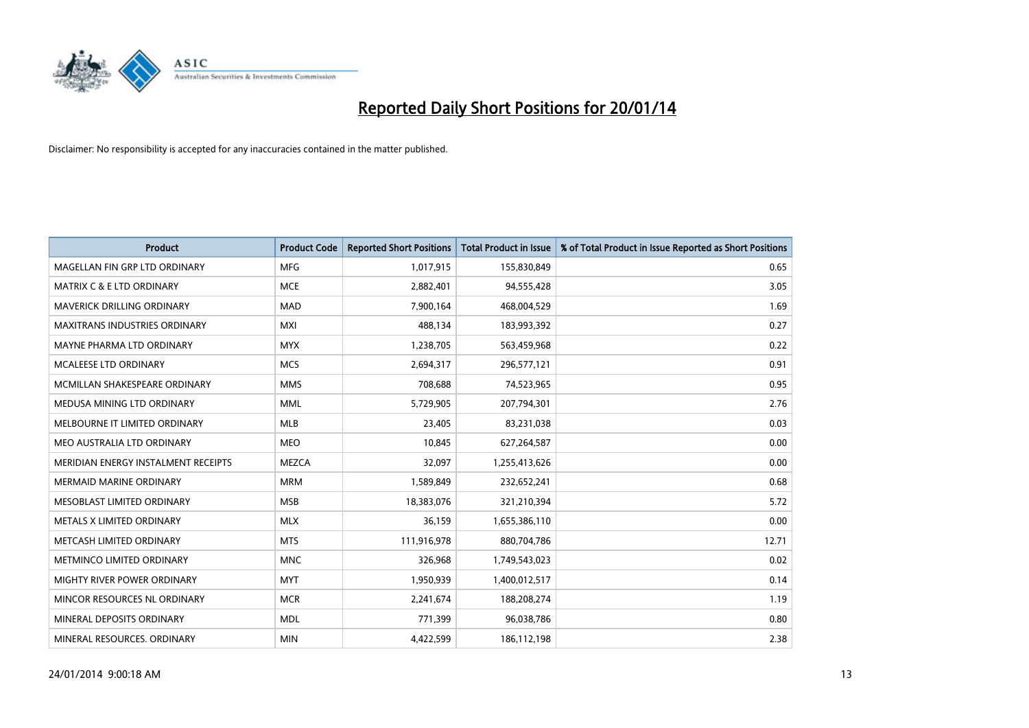

| <b>Product</b>                       | <b>Product Code</b> | <b>Reported Short Positions</b> | <b>Total Product in Issue</b> | % of Total Product in Issue Reported as Short Positions |
|--------------------------------------|---------------------|---------------------------------|-------------------------------|---------------------------------------------------------|
| MAGELLAN FIN GRP LTD ORDINARY        | <b>MFG</b>          | 1,017,915                       | 155,830,849                   | 0.65                                                    |
| <b>MATRIX C &amp; E LTD ORDINARY</b> | <b>MCE</b>          | 2,882,401                       | 94,555,428                    | 3.05                                                    |
| MAVERICK DRILLING ORDINARY           | <b>MAD</b>          | 7,900,164                       | 468,004,529                   | 1.69                                                    |
| MAXITRANS INDUSTRIES ORDINARY        | <b>MXI</b>          | 488,134                         | 183,993,392                   | 0.27                                                    |
| MAYNE PHARMA LTD ORDINARY            | <b>MYX</b>          | 1,238,705                       | 563,459,968                   | 0.22                                                    |
| <b>MCALEESE LTD ORDINARY</b>         | <b>MCS</b>          | 2,694,317                       | 296,577,121                   | 0.91                                                    |
| MCMILLAN SHAKESPEARE ORDINARY        | <b>MMS</b>          | 708,688                         | 74,523,965                    | 0.95                                                    |
| MEDUSA MINING LTD ORDINARY           | <b>MML</b>          | 5,729,905                       | 207,794,301                   | 2.76                                                    |
| MELBOURNE IT LIMITED ORDINARY        | <b>MLB</b>          | 23,405                          | 83,231,038                    | 0.03                                                    |
| MEO AUSTRALIA LTD ORDINARY           | <b>MEO</b>          | 10,845                          | 627,264,587                   | 0.00                                                    |
| MERIDIAN ENERGY INSTALMENT RECEIPTS  | <b>MEZCA</b>        | 32,097                          | 1,255,413,626                 | 0.00                                                    |
| <b>MERMAID MARINE ORDINARY</b>       | <b>MRM</b>          | 1,589,849                       | 232,652,241                   | 0.68                                                    |
| MESOBLAST LIMITED ORDINARY           | <b>MSB</b>          | 18,383,076                      | 321,210,394                   | 5.72                                                    |
| METALS X LIMITED ORDINARY            | <b>MLX</b>          | 36,159                          | 1,655,386,110                 | 0.00                                                    |
| METCASH LIMITED ORDINARY             | <b>MTS</b>          | 111,916,978                     | 880,704,786                   | 12.71                                                   |
| METMINCO LIMITED ORDINARY            | <b>MNC</b>          | 326,968                         | 1,749,543,023                 | 0.02                                                    |
| MIGHTY RIVER POWER ORDINARY          | <b>MYT</b>          | 1,950,939                       | 1,400,012,517                 | 0.14                                                    |
| MINCOR RESOURCES NL ORDINARY         | <b>MCR</b>          | 2,241,674                       | 188,208,274                   | 1.19                                                    |
| MINERAL DEPOSITS ORDINARY            | <b>MDL</b>          | 771,399                         | 96,038,786                    | 0.80                                                    |
| MINERAL RESOURCES. ORDINARY          | <b>MIN</b>          | 4,422,599                       | 186,112,198                   | 2.38                                                    |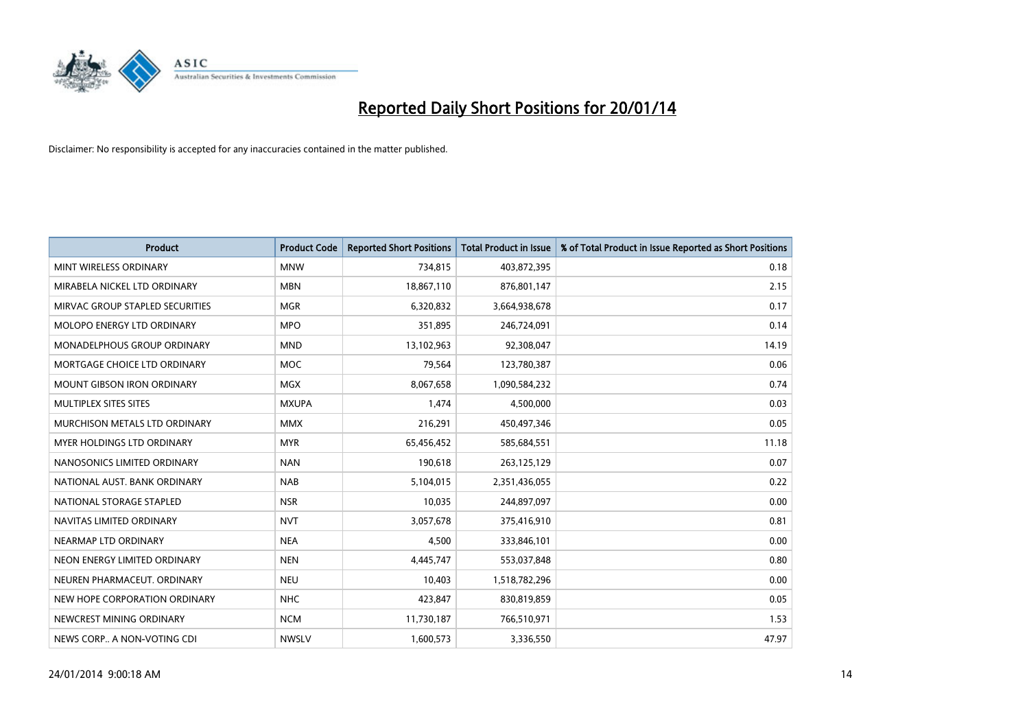

| <b>Product</b>                    | <b>Product Code</b> | <b>Reported Short Positions</b> | <b>Total Product in Issue</b> | % of Total Product in Issue Reported as Short Positions |
|-----------------------------------|---------------------|---------------------------------|-------------------------------|---------------------------------------------------------|
| MINT WIRELESS ORDINARY            | <b>MNW</b>          | 734,815                         | 403,872,395                   | 0.18                                                    |
| MIRABELA NICKEL LTD ORDINARY      | <b>MBN</b>          | 18,867,110                      | 876,801,147                   | 2.15                                                    |
| MIRVAC GROUP STAPLED SECURITIES   | <b>MGR</b>          | 6,320,832                       | 3,664,938,678                 | 0.17                                                    |
| MOLOPO ENERGY LTD ORDINARY        | <b>MPO</b>          | 351,895                         | 246,724,091                   | 0.14                                                    |
| MONADELPHOUS GROUP ORDINARY       | <b>MND</b>          | 13,102,963                      | 92,308,047                    | 14.19                                                   |
| MORTGAGE CHOICE LTD ORDINARY      | <b>MOC</b>          | 79,564                          | 123,780,387                   | 0.06                                                    |
| <b>MOUNT GIBSON IRON ORDINARY</b> | <b>MGX</b>          | 8,067,658                       | 1,090,584,232                 | 0.74                                                    |
| MULTIPLEX SITES SITES             | <b>MXUPA</b>        | 1,474                           | 4,500,000                     | 0.03                                                    |
| MURCHISON METALS LTD ORDINARY     | <b>MMX</b>          | 216,291                         | 450,497,346                   | 0.05                                                    |
| MYER HOLDINGS LTD ORDINARY        | <b>MYR</b>          | 65,456,452                      | 585,684,551                   | 11.18                                                   |
| NANOSONICS LIMITED ORDINARY       | <b>NAN</b>          | 190,618                         | 263,125,129                   | 0.07                                                    |
| NATIONAL AUST. BANK ORDINARY      | <b>NAB</b>          | 5,104,015                       | 2,351,436,055                 | 0.22                                                    |
| NATIONAL STORAGE STAPLED          | <b>NSR</b>          | 10,035                          | 244,897,097                   | 0.00                                                    |
| NAVITAS LIMITED ORDINARY          | <b>NVT</b>          | 3,057,678                       | 375,416,910                   | 0.81                                                    |
| NEARMAP LTD ORDINARY              | <b>NEA</b>          | 4,500                           | 333,846,101                   | 0.00                                                    |
| NEON ENERGY LIMITED ORDINARY      | <b>NEN</b>          | 4,445,747                       | 553,037,848                   | 0.80                                                    |
| NEUREN PHARMACEUT, ORDINARY       | <b>NEU</b>          | 10,403                          | 1,518,782,296                 | 0.00                                                    |
| NEW HOPE CORPORATION ORDINARY     | <b>NHC</b>          | 423,847                         | 830,819,859                   | 0.05                                                    |
| NEWCREST MINING ORDINARY          | <b>NCM</b>          | 11,730,187                      | 766,510,971                   | 1.53                                                    |
| NEWS CORP A NON-VOTING CDI        | <b>NWSLV</b>        | 1,600,573                       | 3,336,550                     | 47.97                                                   |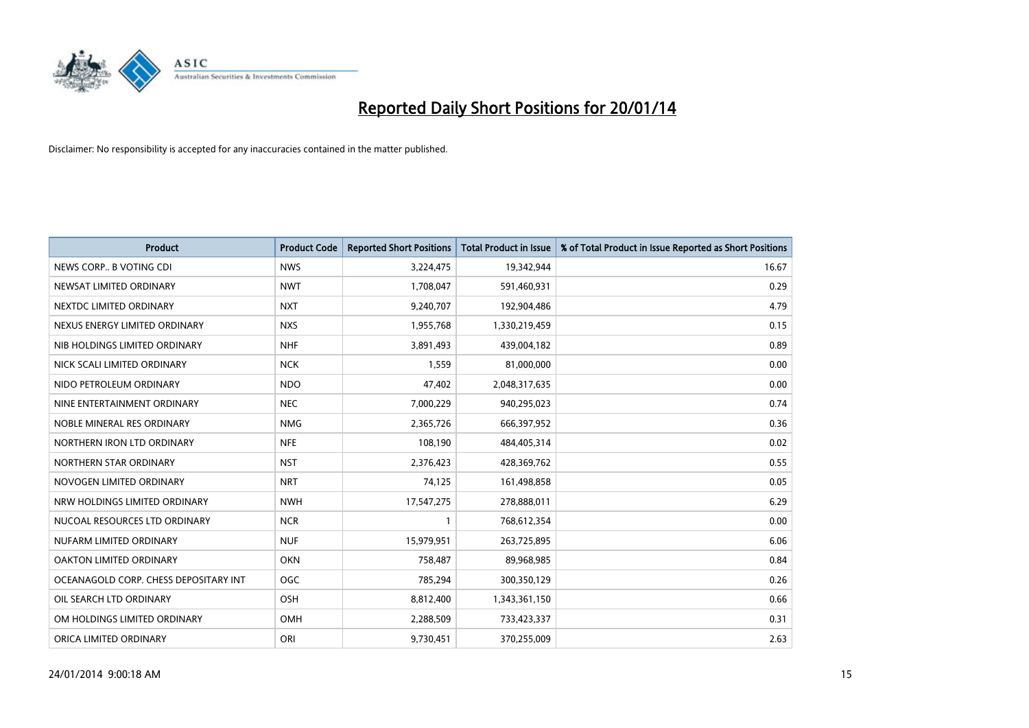

| <b>Product</b>                        | <b>Product Code</b> | <b>Reported Short Positions</b> | <b>Total Product in Issue</b> | % of Total Product in Issue Reported as Short Positions |
|---------------------------------------|---------------------|---------------------------------|-------------------------------|---------------------------------------------------------|
| NEWS CORP B VOTING CDI                | <b>NWS</b>          | 3,224,475                       | 19,342,944                    | 16.67                                                   |
| NEWSAT LIMITED ORDINARY               | <b>NWT</b>          | 1,708,047                       | 591,460,931                   | 0.29                                                    |
| NEXTDC LIMITED ORDINARY               | <b>NXT</b>          | 9,240,707                       | 192,904,486                   | 4.79                                                    |
| NEXUS ENERGY LIMITED ORDINARY         | <b>NXS</b>          | 1,955,768                       | 1,330,219,459                 | 0.15                                                    |
| NIB HOLDINGS LIMITED ORDINARY         | <b>NHF</b>          | 3,891,493                       | 439,004,182                   | 0.89                                                    |
| NICK SCALI LIMITED ORDINARY           | <b>NCK</b>          | 1,559                           | 81,000,000                    | 0.00                                                    |
| NIDO PETROLEUM ORDINARY               | <b>NDO</b>          | 47,402                          | 2,048,317,635                 | 0.00                                                    |
| NINE ENTERTAINMENT ORDINARY           | <b>NEC</b>          | 7,000,229                       | 940,295,023                   | 0.74                                                    |
| NOBLE MINERAL RES ORDINARY            | <b>NMG</b>          | 2,365,726                       | 666,397,952                   | 0.36                                                    |
| NORTHERN IRON LTD ORDINARY            | <b>NFE</b>          | 108,190                         | 484,405,314                   | 0.02                                                    |
| NORTHERN STAR ORDINARY                | <b>NST</b>          | 2,376,423                       | 428,369,762                   | 0.55                                                    |
| NOVOGEN LIMITED ORDINARY              | <b>NRT</b>          | 74,125                          | 161,498,858                   | 0.05                                                    |
| NRW HOLDINGS LIMITED ORDINARY         | <b>NWH</b>          | 17,547,275                      | 278,888,011                   | 6.29                                                    |
| NUCOAL RESOURCES LTD ORDINARY         | <b>NCR</b>          | $\mathbf{1}$                    | 768,612,354                   | 0.00                                                    |
| NUFARM LIMITED ORDINARY               | <b>NUF</b>          | 15,979,951                      | 263,725,895                   | 6.06                                                    |
| OAKTON LIMITED ORDINARY               | <b>OKN</b>          | 758,487                         | 89,968,985                    | 0.84                                                    |
| OCEANAGOLD CORP. CHESS DEPOSITARY INT | <b>OGC</b>          | 785,294                         | 300,350,129                   | 0.26                                                    |
| OIL SEARCH LTD ORDINARY               | OSH                 | 8,812,400                       | 1,343,361,150                 | 0.66                                                    |
| OM HOLDINGS LIMITED ORDINARY          | <b>OMH</b>          | 2,288,509                       | 733,423,337                   | 0.31                                                    |
| ORICA LIMITED ORDINARY                | ORI                 | 9,730,451                       | 370,255,009                   | 2.63                                                    |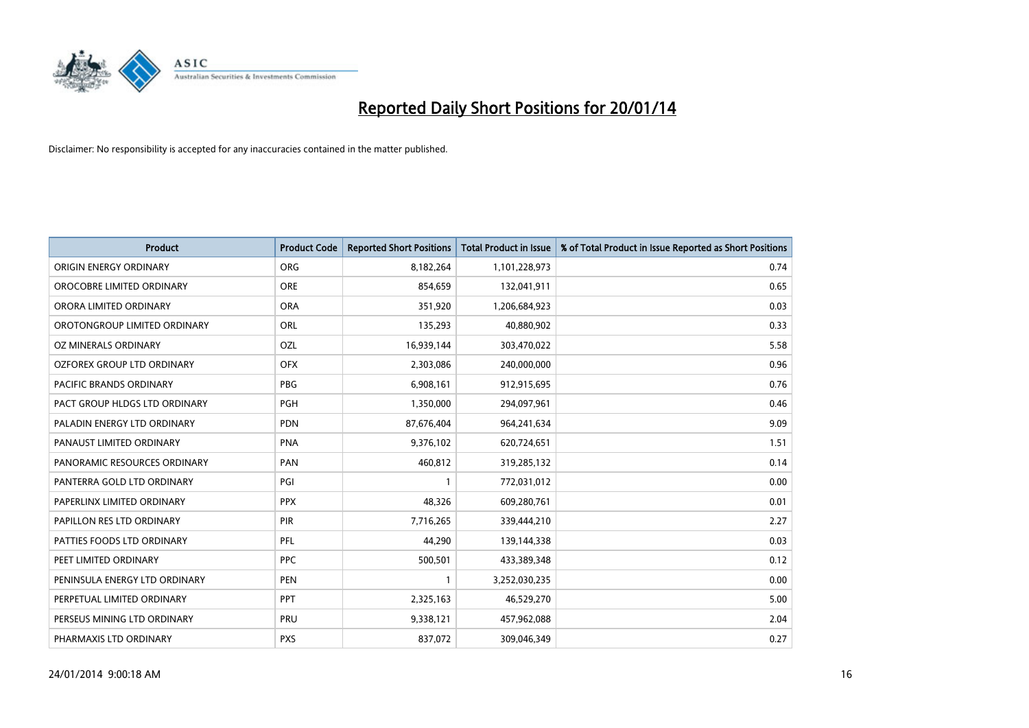

| <b>Product</b>                | <b>Product Code</b> | <b>Reported Short Positions</b> | <b>Total Product in Issue</b> | % of Total Product in Issue Reported as Short Positions |
|-------------------------------|---------------------|---------------------------------|-------------------------------|---------------------------------------------------------|
| ORIGIN ENERGY ORDINARY        | <b>ORG</b>          | 8,182,264                       | 1,101,228,973                 | 0.74                                                    |
| OROCOBRE LIMITED ORDINARY     | <b>ORE</b>          | 854,659                         | 132,041,911                   | 0.65                                                    |
| ORORA LIMITED ORDINARY        | <b>ORA</b>          | 351,920                         | 1,206,684,923                 | 0.03                                                    |
| OROTONGROUP LIMITED ORDINARY  | ORL                 | 135,293                         | 40,880,902                    | 0.33                                                    |
| OZ MINERALS ORDINARY          | OZL                 | 16,939,144                      | 303,470,022                   | 5.58                                                    |
| OZFOREX GROUP LTD ORDINARY    | <b>OFX</b>          | 2,303,086                       | 240,000,000                   | 0.96                                                    |
| PACIFIC BRANDS ORDINARY       | <b>PBG</b>          | 6,908,161                       | 912,915,695                   | 0.76                                                    |
| PACT GROUP HLDGS LTD ORDINARY | PGH                 | 1,350,000                       | 294,097,961                   | 0.46                                                    |
| PALADIN ENERGY LTD ORDINARY   | <b>PDN</b>          | 87,676,404                      | 964,241,634                   | 9.09                                                    |
| PANAUST LIMITED ORDINARY      | <b>PNA</b>          | 9,376,102                       | 620,724,651                   | 1.51                                                    |
| PANORAMIC RESOURCES ORDINARY  | PAN                 | 460,812                         | 319,285,132                   | 0.14                                                    |
| PANTERRA GOLD LTD ORDINARY    | PGI                 | $\mathbf{1}$                    | 772,031,012                   | 0.00                                                    |
| PAPERLINX LIMITED ORDINARY    | <b>PPX</b>          | 48,326                          | 609,280,761                   | 0.01                                                    |
| PAPILLON RES LTD ORDINARY     | PIR                 | 7,716,265                       | 339,444,210                   | 2.27                                                    |
| PATTIES FOODS LTD ORDINARY    | PFL                 | 44,290                          | 139,144,338                   | 0.03                                                    |
| PEET LIMITED ORDINARY         | <b>PPC</b>          | 500,501                         | 433,389,348                   | 0.12                                                    |
| PENINSULA ENERGY LTD ORDINARY | <b>PEN</b>          | $\mathbf{1}$                    | 3,252,030,235                 | 0.00                                                    |
| PERPETUAL LIMITED ORDINARY    | PPT                 | 2,325,163                       | 46,529,270                    | 5.00                                                    |
| PERSEUS MINING LTD ORDINARY   | PRU                 | 9,338,121                       | 457,962,088                   | 2.04                                                    |
| PHARMAXIS LTD ORDINARY        | <b>PXS</b>          | 837,072                         | 309,046,349                   | 0.27                                                    |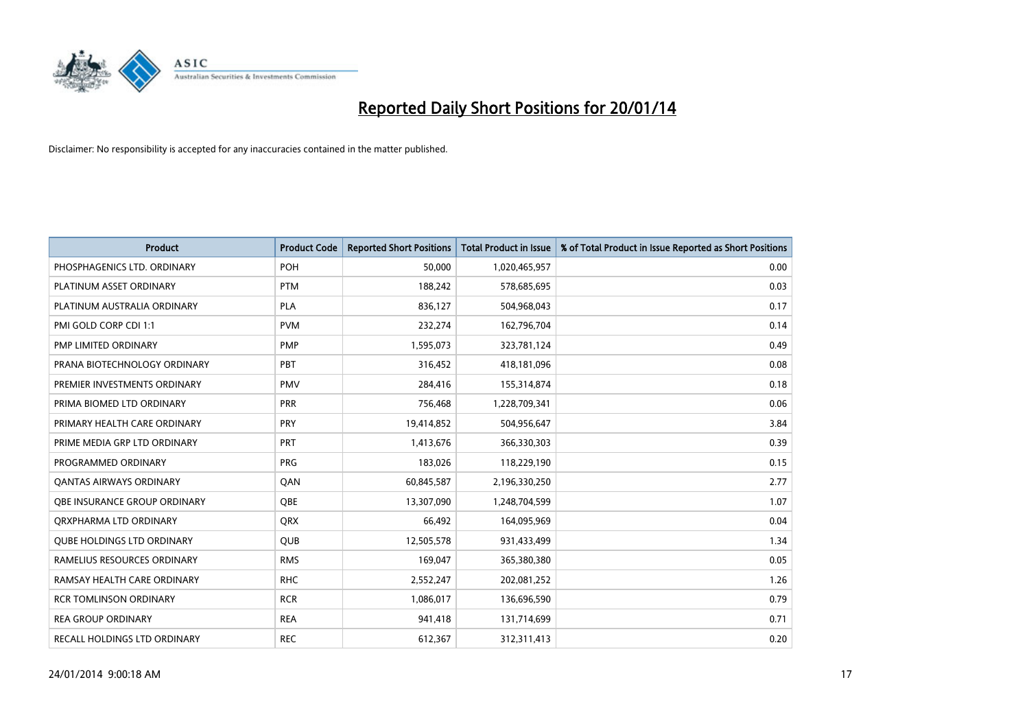

| <b>Product</b>                    | <b>Product Code</b> | <b>Reported Short Positions</b> | <b>Total Product in Issue</b> | % of Total Product in Issue Reported as Short Positions |
|-----------------------------------|---------------------|---------------------------------|-------------------------------|---------------------------------------------------------|
| PHOSPHAGENICS LTD. ORDINARY       | POH                 | 50,000                          | 1,020,465,957                 | 0.00                                                    |
| PLATINUM ASSET ORDINARY           | <b>PTM</b>          | 188,242                         | 578,685,695                   | 0.03                                                    |
| PLATINUM AUSTRALIA ORDINARY       | <b>PLA</b>          | 836,127                         | 504,968,043                   | 0.17                                                    |
| PMI GOLD CORP CDI 1:1             | <b>PVM</b>          | 232,274                         | 162,796,704                   | 0.14                                                    |
| PMP LIMITED ORDINARY              | <b>PMP</b>          | 1,595,073                       | 323,781,124                   | 0.49                                                    |
| PRANA BIOTECHNOLOGY ORDINARY      | PBT                 | 316,452                         | 418,181,096                   | 0.08                                                    |
| PREMIER INVESTMENTS ORDINARY      | <b>PMV</b>          | 284,416                         | 155,314,874                   | 0.18                                                    |
| PRIMA BIOMED LTD ORDINARY         | <b>PRR</b>          | 756,468                         | 1,228,709,341                 | 0.06                                                    |
| PRIMARY HEALTH CARE ORDINARY      | <b>PRY</b>          | 19,414,852                      | 504,956,647                   | 3.84                                                    |
| PRIME MEDIA GRP LTD ORDINARY      | <b>PRT</b>          | 1,413,676                       | 366,330,303                   | 0.39                                                    |
| PROGRAMMED ORDINARY               | <b>PRG</b>          | 183,026                         | 118,229,190                   | 0.15                                                    |
| <b>QANTAS AIRWAYS ORDINARY</b>    | QAN                 | 60,845,587                      | 2,196,330,250                 | 2.77                                                    |
| OBE INSURANCE GROUP ORDINARY      | <b>OBE</b>          | 13,307,090                      | 1,248,704,599                 | 1.07                                                    |
| ORXPHARMA LTD ORDINARY            | <b>QRX</b>          | 66,492                          | 164,095,969                   | 0.04                                                    |
| <b>QUBE HOLDINGS LTD ORDINARY</b> | <b>QUB</b>          | 12,505,578                      | 931,433,499                   | 1.34                                                    |
| RAMELIUS RESOURCES ORDINARY       | <b>RMS</b>          | 169,047                         | 365,380,380                   | 0.05                                                    |
| RAMSAY HEALTH CARE ORDINARY       | <b>RHC</b>          | 2,552,247                       | 202,081,252                   | 1.26                                                    |
| <b>RCR TOMLINSON ORDINARY</b>     | <b>RCR</b>          | 1,086,017                       | 136,696,590                   | 0.79                                                    |
| <b>REA GROUP ORDINARY</b>         | <b>REA</b>          | 941,418                         | 131,714,699                   | 0.71                                                    |
| RECALL HOLDINGS LTD ORDINARY      | <b>REC</b>          | 612,367                         | 312,311,413                   | 0.20                                                    |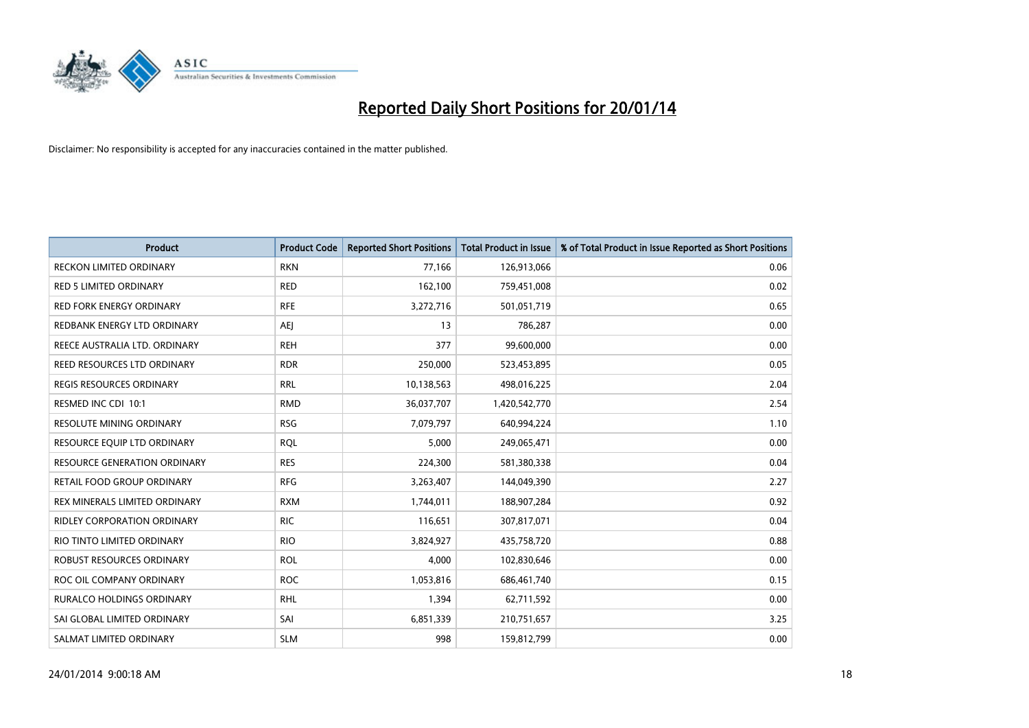

| <b>Product</b>                      | <b>Product Code</b> | <b>Reported Short Positions</b> | <b>Total Product in Issue</b> | % of Total Product in Issue Reported as Short Positions |
|-------------------------------------|---------------------|---------------------------------|-------------------------------|---------------------------------------------------------|
| <b>RECKON LIMITED ORDINARY</b>      | <b>RKN</b>          | 77,166                          | 126,913,066                   | 0.06                                                    |
| <b>RED 5 LIMITED ORDINARY</b>       | <b>RED</b>          | 162,100                         | 759,451,008                   | 0.02                                                    |
| RED FORK ENERGY ORDINARY            | <b>RFE</b>          | 3,272,716                       | 501,051,719                   | 0.65                                                    |
| REDBANK ENERGY LTD ORDINARY         | <b>AEI</b>          | 13                              | 786,287                       | 0.00                                                    |
| REECE AUSTRALIA LTD. ORDINARY       | <b>REH</b>          | 377                             | 99,600,000                    | 0.00                                                    |
| REED RESOURCES LTD ORDINARY         | <b>RDR</b>          | 250,000                         | 523,453,895                   | 0.05                                                    |
| <b>REGIS RESOURCES ORDINARY</b>     | <b>RRL</b>          | 10,138,563                      | 498,016,225                   | 2.04                                                    |
| RESMED INC CDI 10:1                 | <b>RMD</b>          | 36,037,707                      | 1,420,542,770                 | 2.54                                                    |
| <b>RESOLUTE MINING ORDINARY</b>     | <b>RSG</b>          | 7,079,797                       | 640,994,224                   | 1.10                                                    |
| RESOURCE EQUIP LTD ORDINARY         | <b>RQL</b>          | 5,000                           | 249,065,471                   | 0.00                                                    |
| <b>RESOURCE GENERATION ORDINARY</b> | <b>RES</b>          | 224,300                         | 581,380,338                   | 0.04                                                    |
| RETAIL FOOD GROUP ORDINARY          | <b>RFG</b>          | 3,263,407                       | 144,049,390                   | 2.27                                                    |
| REX MINERALS LIMITED ORDINARY       | <b>RXM</b>          | 1,744,011                       | 188,907,284                   | 0.92                                                    |
| RIDLEY CORPORATION ORDINARY         | <b>RIC</b>          | 116,651                         | 307,817,071                   | 0.04                                                    |
| RIO TINTO LIMITED ORDINARY          | <b>RIO</b>          | 3,824,927                       | 435,758,720                   | 0.88                                                    |
| ROBUST RESOURCES ORDINARY           | <b>ROL</b>          | 4,000                           | 102,830,646                   | 0.00                                                    |
| ROC OIL COMPANY ORDINARY            | <b>ROC</b>          | 1,053,816                       | 686,461,740                   | 0.15                                                    |
| <b>RURALCO HOLDINGS ORDINARY</b>    | <b>RHL</b>          | 1,394                           | 62,711,592                    | 0.00                                                    |
| SAI GLOBAL LIMITED ORDINARY         | SAI                 | 6,851,339                       | 210,751,657                   | 3.25                                                    |
| SALMAT LIMITED ORDINARY             | <b>SLM</b>          | 998                             | 159,812,799                   | 0.00                                                    |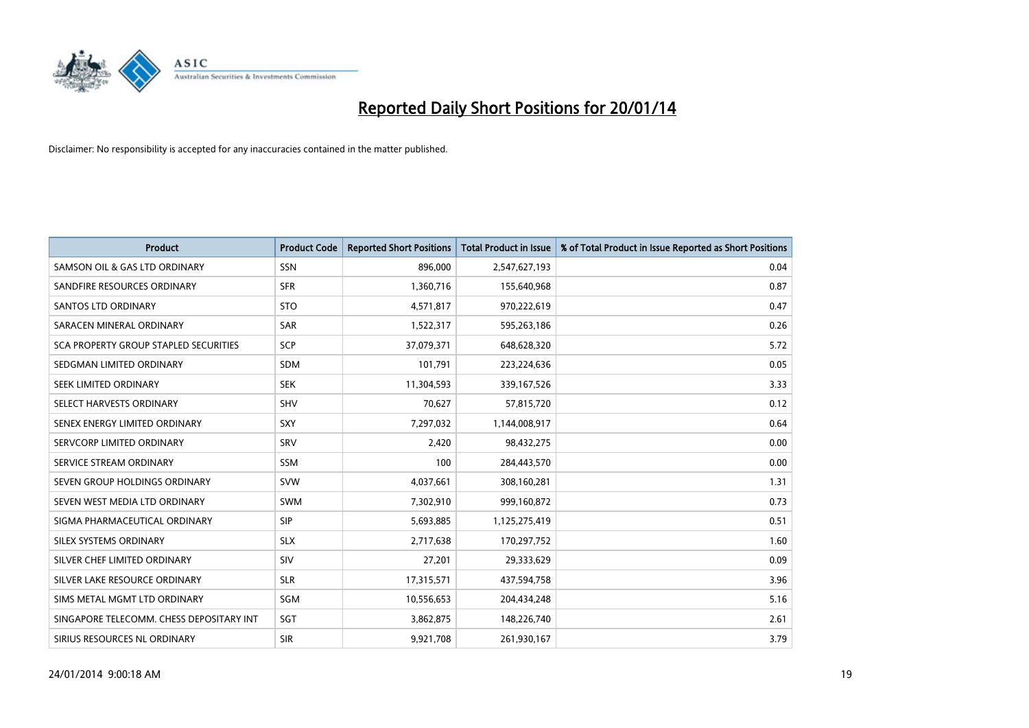

| <b>Product</b>                           | <b>Product Code</b> | <b>Reported Short Positions</b> | <b>Total Product in Issue</b> | % of Total Product in Issue Reported as Short Positions |
|------------------------------------------|---------------------|---------------------------------|-------------------------------|---------------------------------------------------------|
| SAMSON OIL & GAS LTD ORDINARY            | <b>SSN</b>          | 896,000                         | 2,547,627,193                 | 0.04                                                    |
| SANDFIRE RESOURCES ORDINARY              | <b>SFR</b>          | 1,360,716                       | 155,640,968                   | 0.87                                                    |
| <b>SANTOS LTD ORDINARY</b>               | <b>STO</b>          | 4,571,817                       | 970,222,619                   | 0.47                                                    |
| SARACEN MINERAL ORDINARY                 | <b>SAR</b>          | 1,522,317                       | 595,263,186                   | 0.26                                                    |
| SCA PROPERTY GROUP STAPLED SECURITIES    | <b>SCP</b>          | 37,079,371                      | 648,628,320                   | 5.72                                                    |
| SEDGMAN LIMITED ORDINARY                 | SDM                 | 101,791                         | 223,224,636                   | 0.05                                                    |
| SEEK LIMITED ORDINARY                    | <b>SEK</b>          | 11,304,593                      | 339,167,526                   | 3.33                                                    |
| SELECT HARVESTS ORDINARY                 | <b>SHV</b>          | 70,627                          | 57,815,720                    | 0.12                                                    |
| SENEX ENERGY LIMITED ORDINARY            | <b>SXY</b>          | 7,297,032                       | 1,144,008,917                 | 0.64                                                    |
| SERVCORP LIMITED ORDINARY                | SRV                 | 2,420                           | 98,432,275                    | 0.00                                                    |
| SERVICE STREAM ORDINARY                  | <b>SSM</b>          | 100                             | 284,443,570                   | 0.00                                                    |
| SEVEN GROUP HOLDINGS ORDINARY            | <b>SVW</b>          | 4,037,661                       | 308,160,281                   | 1.31                                                    |
| SEVEN WEST MEDIA LTD ORDINARY            | <b>SWM</b>          | 7,302,910                       | 999,160,872                   | 0.73                                                    |
| SIGMA PHARMACEUTICAL ORDINARY            | <b>SIP</b>          | 5,693,885                       | 1,125,275,419                 | 0.51                                                    |
| SILEX SYSTEMS ORDINARY                   | <b>SLX</b>          | 2,717,638                       | 170,297,752                   | 1.60                                                    |
| SILVER CHEF LIMITED ORDINARY             | SIV                 | 27,201                          | 29,333,629                    | 0.09                                                    |
| SILVER LAKE RESOURCE ORDINARY            | <b>SLR</b>          | 17,315,571                      | 437,594,758                   | 3.96                                                    |
| SIMS METAL MGMT LTD ORDINARY             | SGM                 | 10,556,653                      | 204,434,248                   | 5.16                                                    |
| SINGAPORE TELECOMM. CHESS DEPOSITARY INT | SGT                 | 3,862,875                       | 148,226,740                   | 2.61                                                    |
| SIRIUS RESOURCES NL ORDINARY             | <b>SIR</b>          | 9,921,708                       | 261,930,167                   | 3.79                                                    |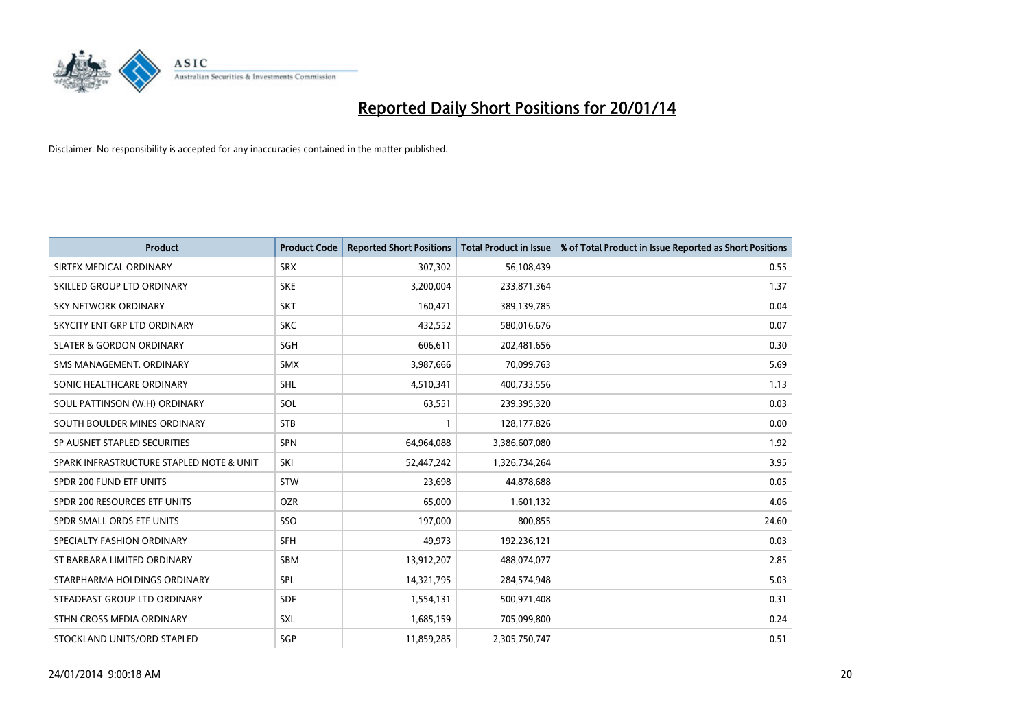

| <b>Product</b>                           | <b>Product Code</b> | <b>Reported Short Positions</b> | <b>Total Product in Issue</b> | % of Total Product in Issue Reported as Short Positions |
|------------------------------------------|---------------------|---------------------------------|-------------------------------|---------------------------------------------------------|
| SIRTEX MEDICAL ORDINARY                  | <b>SRX</b>          | 307,302                         | 56,108,439                    | 0.55                                                    |
| SKILLED GROUP LTD ORDINARY               | <b>SKE</b>          | 3,200,004                       | 233,871,364                   | 1.37                                                    |
| <b>SKY NETWORK ORDINARY</b>              | <b>SKT</b>          | 160,471                         | 389,139,785                   | 0.04                                                    |
| SKYCITY ENT GRP LTD ORDINARY             | <b>SKC</b>          | 432,552                         | 580,016,676                   | 0.07                                                    |
| <b>SLATER &amp; GORDON ORDINARY</b>      | SGH                 | 606,611                         | 202,481,656                   | 0.30                                                    |
| SMS MANAGEMENT, ORDINARY                 | <b>SMX</b>          | 3,987,666                       | 70,099,763                    | 5.69                                                    |
| SONIC HEALTHCARE ORDINARY                | <b>SHL</b>          | 4,510,341                       | 400,733,556                   | 1.13                                                    |
| SOUL PATTINSON (W.H) ORDINARY            | SOL                 | 63,551                          | 239,395,320                   | 0.03                                                    |
| SOUTH BOULDER MINES ORDINARY             | <b>STB</b>          | 1                               | 128,177,826                   | 0.00                                                    |
| SP AUSNET STAPLED SECURITIES             | <b>SPN</b>          | 64,964,088                      | 3,386,607,080                 | 1.92                                                    |
| SPARK INFRASTRUCTURE STAPLED NOTE & UNIT | SKI                 | 52,447,242                      | 1,326,734,264                 | 3.95                                                    |
| SPDR 200 FUND ETF UNITS                  | <b>STW</b>          | 23,698                          | 44,878,688                    | 0.05                                                    |
| SPDR 200 RESOURCES ETF UNITS             | <b>OZR</b>          | 65,000                          | 1,601,132                     | 4.06                                                    |
| SPDR SMALL ORDS ETF UNITS                | SSO                 | 197,000                         | 800,855                       | 24.60                                                   |
| SPECIALTY FASHION ORDINARY               | <b>SFH</b>          | 49,973                          | 192,236,121                   | 0.03                                                    |
| ST BARBARA LIMITED ORDINARY              | SBM                 | 13,912,207                      | 488,074,077                   | 2.85                                                    |
| STARPHARMA HOLDINGS ORDINARY             | SPL                 | 14,321,795                      | 284,574,948                   | 5.03                                                    |
| STEADFAST GROUP LTD ORDINARY             | <b>SDF</b>          | 1,554,131                       | 500,971,408                   | 0.31                                                    |
| STHN CROSS MEDIA ORDINARY                | SXL                 | 1,685,159                       | 705,099,800                   | 0.24                                                    |
| STOCKLAND UNITS/ORD STAPLED              | SGP                 | 11,859,285                      | 2,305,750,747                 | 0.51                                                    |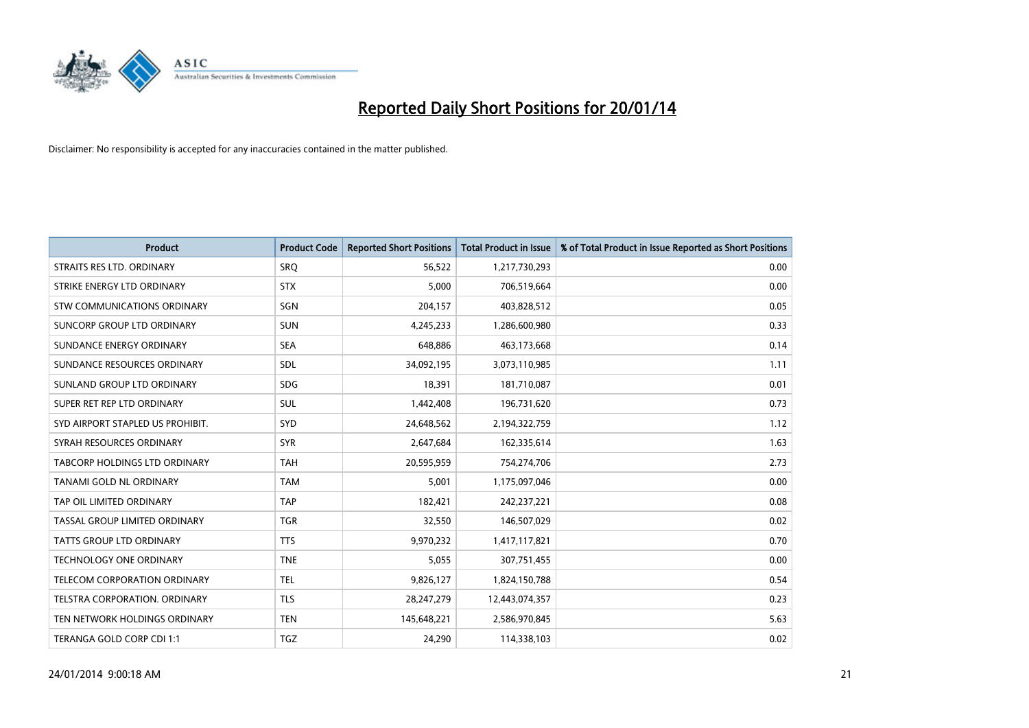

| <b>Product</b>                       | <b>Product Code</b> | <b>Reported Short Positions</b> | <b>Total Product in Issue</b> | % of Total Product in Issue Reported as Short Positions |
|--------------------------------------|---------------------|---------------------------------|-------------------------------|---------------------------------------------------------|
| STRAITS RES LTD. ORDINARY            | <b>SRO</b>          | 56,522                          | 1,217,730,293                 | 0.00                                                    |
| STRIKE ENERGY LTD ORDINARY           | <b>STX</b>          | 5,000                           | 706,519,664                   | 0.00                                                    |
| STW COMMUNICATIONS ORDINARY          | SGN                 | 204,157                         | 403,828,512                   | 0.05                                                    |
| SUNCORP GROUP LTD ORDINARY           | <b>SUN</b>          | 4,245,233                       | 1,286,600,980                 | 0.33                                                    |
| SUNDANCE ENERGY ORDINARY             | <b>SEA</b>          | 648,886                         | 463,173,668                   | 0.14                                                    |
| SUNDANCE RESOURCES ORDINARY          | SDL                 | 34,092,195                      | 3,073,110,985                 | 1.11                                                    |
| SUNLAND GROUP LTD ORDINARY           | <b>SDG</b>          | 18,391                          | 181,710,087                   | 0.01                                                    |
| SUPER RET REP LTD ORDINARY           | SUL                 | 1,442,408                       | 196,731,620                   | 0.73                                                    |
| SYD AIRPORT STAPLED US PROHIBIT.     | SYD                 | 24,648,562                      | 2,194,322,759                 | 1.12                                                    |
| SYRAH RESOURCES ORDINARY             | <b>SYR</b>          | 2,647,684                       | 162,335,614                   | 1.63                                                    |
| <b>TABCORP HOLDINGS LTD ORDINARY</b> | <b>TAH</b>          | 20,595,959                      | 754,274,706                   | 2.73                                                    |
| TANAMI GOLD NL ORDINARY              | <b>TAM</b>          | 5,001                           | 1,175,097,046                 | 0.00                                                    |
| TAP OIL LIMITED ORDINARY             | <b>TAP</b>          | 182,421                         | 242,237,221                   | 0.08                                                    |
| TASSAL GROUP LIMITED ORDINARY        | <b>TGR</b>          | 32,550                          | 146,507,029                   | 0.02                                                    |
| TATTS GROUP LTD ORDINARY             | <b>TTS</b>          | 9,970,232                       | 1,417,117,821                 | 0.70                                                    |
| TECHNOLOGY ONE ORDINARY              | <b>TNE</b>          | 5,055                           | 307,751,455                   | 0.00                                                    |
| TELECOM CORPORATION ORDINARY         | <b>TEL</b>          | 9,826,127                       | 1,824,150,788                 | 0.54                                                    |
| TELSTRA CORPORATION. ORDINARY        | <b>TLS</b>          | 28, 247, 279                    | 12,443,074,357                | 0.23                                                    |
| TEN NETWORK HOLDINGS ORDINARY        | <b>TEN</b>          | 145,648,221                     | 2,586,970,845                 | 5.63                                                    |
| TERANGA GOLD CORP CDI 1:1            | <b>TGZ</b>          | 24,290                          | 114,338,103                   | 0.02                                                    |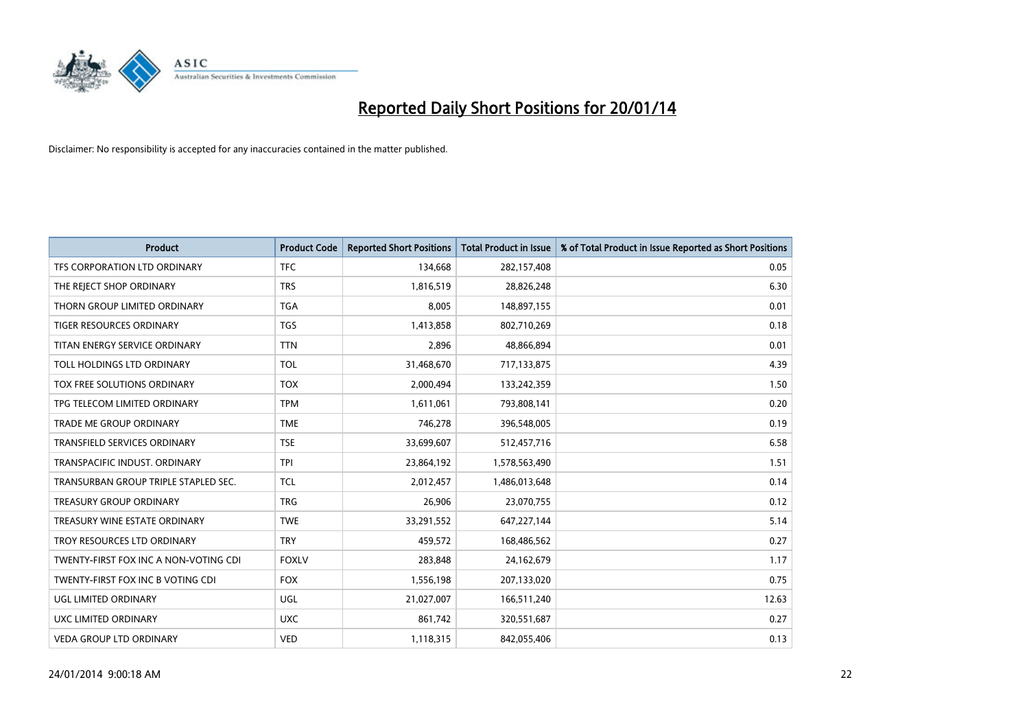

| <b>Product</b>                        | <b>Product Code</b> | <b>Reported Short Positions</b> | Total Product in Issue | % of Total Product in Issue Reported as Short Positions |
|---------------------------------------|---------------------|---------------------------------|------------------------|---------------------------------------------------------|
| TFS CORPORATION LTD ORDINARY          | <b>TFC</b>          | 134,668                         | 282,157,408            | 0.05                                                    |
| THE REJECT SHOP ORDINARY              | <b>TRS</b>          | 1,816,519                       | 28,826,248             | 6.30                                                    |
| THORN GROUP LIMITED ORDINARY          | <b>TGA</b>          | 8,005                           | 148,897,155            | 0.01                                                    |
| TIGER RESOURCES ORDINARY              | <b>TGS</b>          | 1,413,858                       | 802,710,269            | 0.18                                                    |
| TITAN ENERGY SERVICE ORDINARY         | <b>TTN</b>          | 2,896                           | 48,866,894             | 0.01                                                    |
| TOLL HOLDINGS LTD ORDINARY            | <b>TOL</b>          | 31,468,670                      | 717,133,875            | 4.39                                                    |
| TOX FREE SOLUTIONS ORDINARY           | <b>TOX</b>          | 2,000,494                       | 133,242,359            | 1.50                                                    |
| TPG TELECOM LIMITED ORDINARY          | <b>TPM</b>          | 1,611,061                       | 793,808,141            | 0.20                                                    |
| <b>TRADE ME GROUP ORDINARY</b>        | <b>TME</b>          | 746,278                         | 396,548,005            | 0.19                                                    |
| <b>TRANSFIELD SERVICES ORDINARY</b>   | <b>TSE</b>          | 33,699,607                      | 512,457,716            | 6.58                                                    |
| TRANSPACIFIC INDUST. ORDINARY         | <b>TPI</b>          | 23,864,192                      | 1,578,563,490          | 1.51                                                    |
| TRANSURBAN GROUP TRIPLE STAPLED SEC.  | <b>TCL</b>          | 2,012,457                       | 1,486,013,648          | 0.14                                                    |
| <b>TREASURY GROUP ORDINARY</b>        | <b>TRG</b>          | 26,906                          | 23,070,755             | 0.12                                                    |
| TREASURY WINE ESTATE ORDINARY         | <b>TWE</b>          | 33,291,552                      | 647,227,144            | 5.14                                                    |
| TROY RESOURCES LTD ORDINARY           | <b>TRY</b>          | 459,572                         | 168,486,562            | 0.27                                                    |
| TWENTY-FIRST FOX INC A NON-VOTING CDI | <b>FOXLV</b>        | 283,848                         | 24,162,679             | 1.17                                                    |
| TWENTY-FIRST FOX INC B VOTING CDI     | <b>FOX</b>          | 1,556,198                       | 207,133,020            | 0.75                                                    |
| UGL LIMITED ORDINARY                  | UGL                 | 21,027,007                      | 166,511,240            | 12.63                                                   |
| UXC LIMITED ORDINARY                  | <b>UXC</b>          | 861,742                         | 320,551,687            | 0.27                                                    |
| <b>VEDA GROUP LTD ORDINARY</b>        | <b>VED</b>          | 1,118,315                       | 842,055,406            | 0.13                                                    |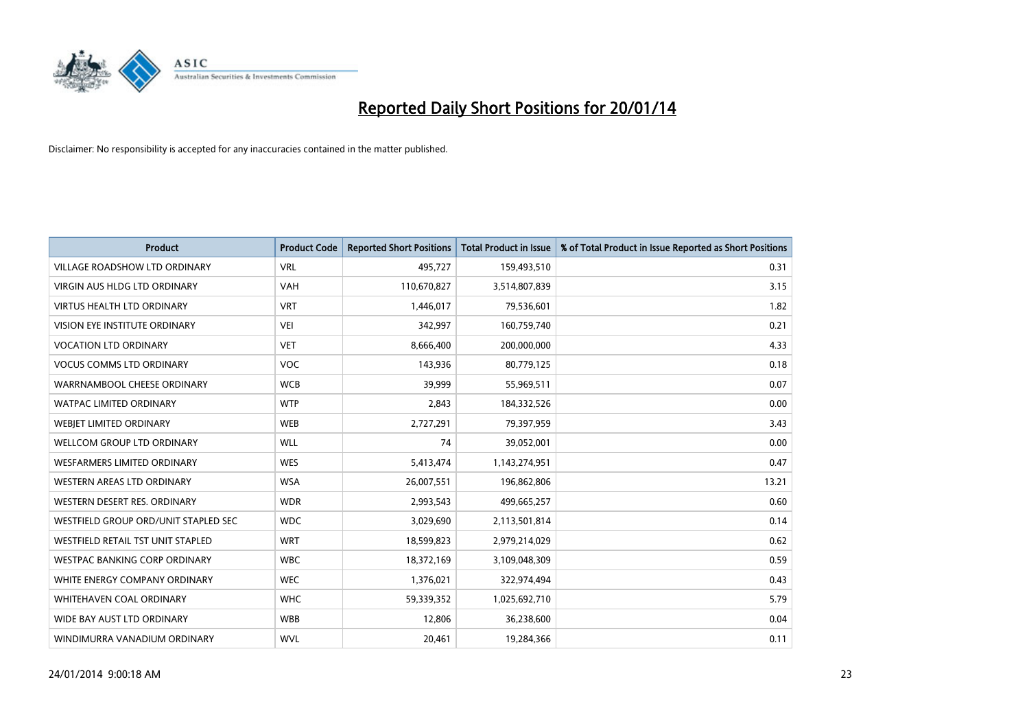

| <b>Product</b>                       | <b>Product Code</b> | <b>Reported Short Positions</b> | <b>Total Product in Issue</b> | % of Total Product in Issue Reported as Short Positions |
|--------------------------------------|---------------------|---------------------------------|-------------------------------|---------------------------------------------------------|
| VILLAGE ROADSHOW LTD ORDINARY        | <b>VRL</b>          | 495,727                         | 159,493,510                   | 0.31                                                    |
| <b>VIRGIN AUS HLDG LTD ORDINARY</b>  | <b>VAH</b>          | 110,670,827                     | 3,514,807,839                 | 3.15                                                    |
| <b>VIRTUS HEALTH LTD ORDINARY</b>    | <b>VRT</b>          | 1,446,017                       | 79,536,601                    | 1.82                                                    |
| <b>VISION EYE INSTITUTE ORDINARY</b> | <b>VEI</b>          | 342,997                         | 160,759,740                   | 0.21                                                    |
| <b>VOCATION LTD ORDINARY</b>         | <b>VET</b>          | 8,666,400                       | 200,000,000                   | 4.33                                                    |
| <b>VOCUS COMMS LTD ORDINARY</b>      | <b>VOC</b>          | 143,936                         | 80,779,125                    | 0.18                                                    |
| WARRNAMBOOL CHEESE ORDINARY          | <b>WCB</b>          | 39,999                          | 55,969,511                    | 0.07                                                    |
| WATPAC LIMITED ORDINARY              | <b>WTP</b>          | 2,843                           | 184,332,526                   | 0.00                                                    |
| WEBJET LIMITED ORDINARY              | <b>WEB</b>          | 2,727,291                       | 79,397,959                    | 3.43                                                    |
| WELLCOM GROUP LTD ORDINARY           | <b>WLL</b>          | 74                              | 39,052,001                    | 0.00                                                    |
| WESFARMERS LIMITED ORDINARY          | <b>WES</b>          | 5,413,474                       | 1,143,274,951                 | 0.47                                                    |
| WESTERN AREAS LTD ORDINARY           | <b>WSA</b>          | 26,007,551                      | 196,862,806                   | 13.21                                                   |
| WESTERN DESERT RES. ORDINARY         | <b>WDR</b>          | 2,993,543                       | 499,665,257                   | 0.60                                                    |
| WESTFIELD GROUP ORD/UNIT STAPLED SEC | <b>WDC</b>          | 3,029,690                       | 2,113,501,814                 | 0.14                                                    |
| WESTFIELD RETAIL TST UNIT STAPLED    | <b>WRT</b>          | 18,599,823                      | 2,979,214,029                 | 0.62                                                    |
| <b>WESTPAC BANKING CORP ORDINARY</b> | <b>WBC</b>          | 18,372,169                      | 3,109,048,309                 | 0.59                                                    |
| WHITE ENERGY COMPANY ORDINARY        | <b>WEC</b>          | 1,376,021                       | 322,974,494                   | 0.43                                                    |
| WHITEHAVEN COAL ORDINARY             | <b>WHC</b>          | 59,339,352                      | 1,025,692,710                 | 5.79                                                    |
| WIDE BAY AUST LTD ORDINARY           | <b>WBB</b>          | 12,806                          | 36,238,600                    | 0.04                                                    |
| WINDIMURRA VANADIUM ORDINARY         | <b>WVL</b>          | 20,461                          | 19,284,366                    | 0.11                                                    |